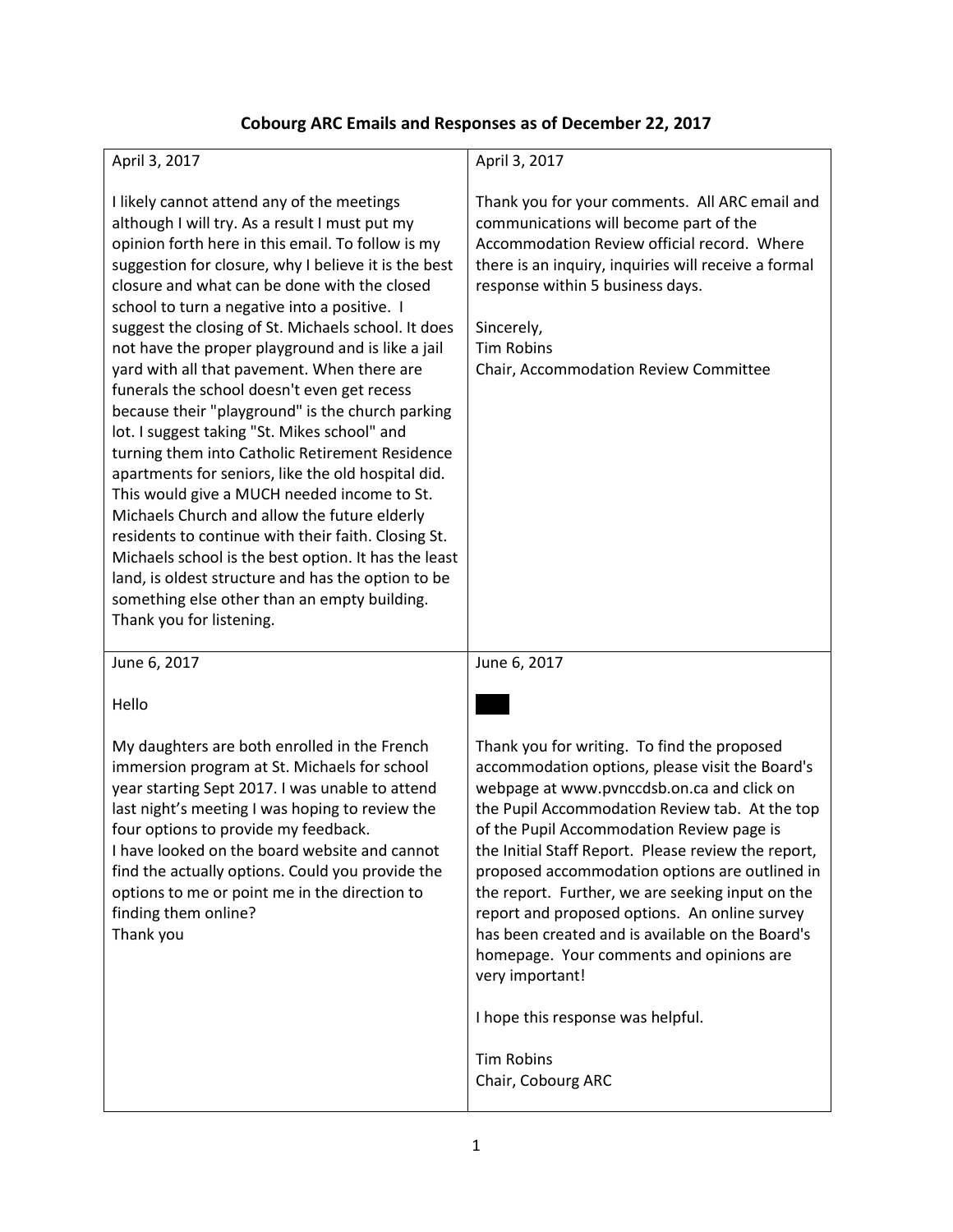# **Cobourg ARC Emails and Responses as of December 22, 2017**

| April 3, 2017                                                                                                                                                                                                                                                                                                                                                                                                                                                                                                                                                                                                                                                                                                                                                                                                                                                                                                                                                                                                                                                                    | April 3, 2017                                                                                                                                                                                                                                                                                                                                                                                                                                                                                                                                                                                                                          |  |
|----------------------------------------------------------------------------------------------------------------------------------------------------------------------------------------------------------------------------------------------------------------------------------------------------------------------------------------------------------------------------------------------------------------------------------------------------------------------------------------------------------------------------------------------------------------------------------------------------------------------------------------------------------------------------------------------------------------------------------------------------------------------------------------------------------------------------------------------------------------------------------------------------------------------------------------------------------------------------------------------------------------------------------------------------------------------------------|----------------------------------------------------------------------------------------------------------------------------------------------------------------------------------------------------------------------------------------------------------------------------------------------------------------------------------------------------------------------------------------------------------------------------------------------------------------------------------------------------------------------------------------------------------------------------------------------------------------------------------------|--|
| I likely cannot attend any of the meetings<br>although I will try. As a result I must put my<br>opinion forth here in this email. To follow is my<br>suggestion for closure, why I believe it is the best<br>closure and what can be done with the closed<br>school to turn a negative into a positive. I<br>suggest the closing of St. Michaels school. It does<br>not have the proper playground and is like a jail<br>yard with all that pavement. When there are<br>funerals the school doesn't even get recess<br>because their "playground" is the church parking<br>lot. I suggest taking "St. Mikes school" and<br>turning them into Catholic Retirement Residence<br>apartments for seniors, like the old hospital did.<br>This would give a MUCH needed income to St.<br>Michaels Church and allow the future elderly<br>residents to continue with their faith. Closing St.<br>Michaels school is the best option. It has the least<br>land, is oldest structure and has the option to be<br>something else other than an empty building.<br>Thank you for listening. | Thank you for your comments. All ARC email and<br>communications will become part of the<br>Accommodation Review official record. Where<br>there is an inquiry, inquiries will receive a formal<br>response within 5 business days.<br>Sincerely,<br><b>Tim Robins</b><br>Chair, Accommodation Review Committee                                                                                                                                                                                                                                                                                                                        |  |
| June 6, 2017                                                                                                                                                                                                                                                                                                                                                                                                                                                                                                                                                                                                                                                                                                                                                                                                                                                                                                                                                                                                                                                                     | June 6, 2017                                                                                                                                                                                                                                                                                                                                                                                                                                                                                                                                                                                                                           |  |
| Hello                                                                                                                                                                                                                                                                                                                                                                                                                                                                                                                                                                                                                                                                                                                                                                                                                                                                                                                                                                                                                                                                            |                                                                                                                                                                                                                                                                                                                                                                                                                                                                                                                                                                                                                                        |  |
| My daughters are both enrolled in the French<br>immersion program at St. Michaels for school<br>year starting Sept 2017. I was unable to attend<br>last night's meeting I was hoping to review the<br>four options to provide my feedback.<br>I have looked on the board website and cannot<br>find the actually options. Could you provide the<br>options to me or point me in the direction to<br>finding them online?<br>Thank you                                                                                                                                                                                                                                                                                                                                                                                                                                                                                                                                                                                                                                            | Thank you for writing. To find the proposed<br>accommodation options, please visit the Board's<br>webpage at www.pvnccdsb.on.ca and click on<br>the Pupil Accommodation Review tab. At the top<br>of the Pupil Accommodation Review page is<br>the Initial Staff Report. Please review the report,<br>proposed accommodation options are outlined in<br>the report. Further, we are seeking input on the<br>report and proposed options. An online survey<br>has been created and is available on the Board's<br>homepage. Your comments and opinions are<br>very important!<br>I hope this response was helpful.<br><b>Tim Robins</b> |  |
|                                                                                                                                                                                                                                                                                                                                                                                                                                                                                                                                                                                                                                                                                                                                                                                                                                                                                                                                                                                                                                                                                  | Chair, Cobourg ARC                                                                                                                                                                                                                                                                                                                                                                                                                                                                                                                                                                                                                     |  |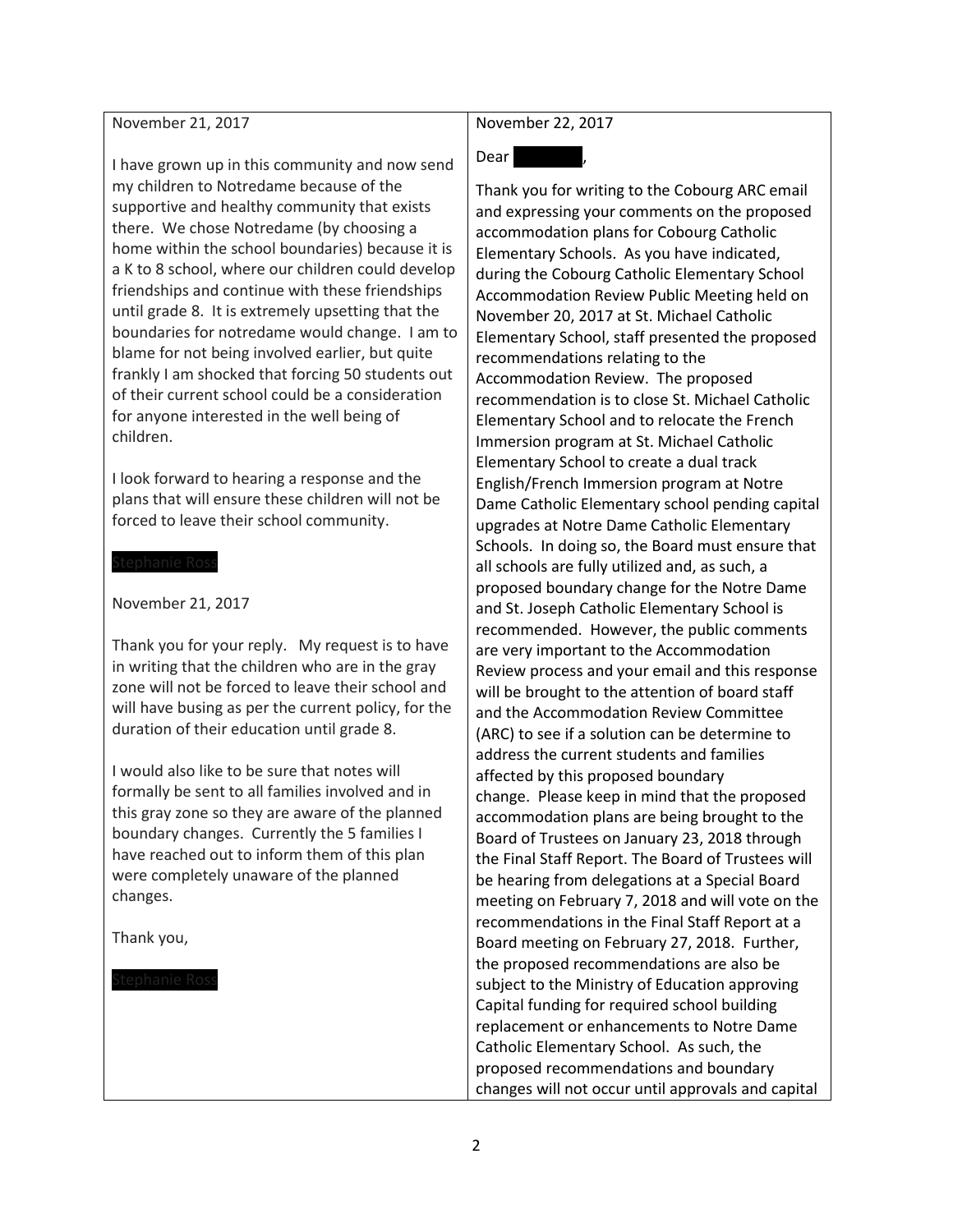### November 21, 2017

I have grown up in this community and now send my children to Notredame because of the supportive and healthy community that exists there. We chose Notredame (by choosing a home within the school boundaries) because it is a K to 8 school, where our children could develop friendships and continue with these friendships until grade 8. It is extremely upsetting that the boundaries for notredame would change. I am to blame for not being involved earlier, but quite frankly I am shocked that forcing 50 students out of their current school could be a consideration for anyone interested in the well being of children.

I look forward to hearing a response and the plans that will ensure these children will not be forced to leave their school community.

#### November 21, 2017

Thank you for your reply. My request is to have in writing that the children who are in the gray zone will not be forced to leave their school and will have busing as per the current policy, for the duration of their education until grade 8.

I would also like to be sure that notes will formally be sent to all families involved and in this gray zone so they are aware of the planned boundary changes. Currently the 5 families I have reached out to inform them of this plan were completely unaware of the planned changes.

Thank you,

## November 22, 2017

# Dear Stephanie

Thank you for writing to the Cobourg ARC email and expressing your comments on the proposed accommodation plans for Cobourg Catholic Elementary Schools. As you have indicated, during the Cobourg Catholic Elementary School Accommodation Review Public Meeting held on November 20, 2017 at St. Michael Catholic Elementary School, staff presented the proposed recommendations relating to the Accommodation Review. The proposed recommendation is to close St. Michael Catholic Elementary School and to relocate the French Immersion program at St. Michael Catholic Elementary School to create a dual track English/French Immersion program at Notre Dame Catholic Elementary school pending capital upgrades at Notre Dame Catholic Elementary Schools. In doing so, the Board must ensure that all schools are fully utilized and, as such, a proposed boundary change for the Notre Dame and St. Joseph Catholic Elementary School is recommended. However, the public comments are very important to the Accommodation Review process and your email and this response will be brought to the attention of board staff and the Accommodation Review Committee (ARC) to see if a solution can be determine to address the current students and families affected by this proposed boundary change. Please keep in mind that the proposed accommodation plans are being brought to the Board of Trustees on January 23, 2018 through the Final Staff Report. The Board of Trustees will be hearing from delegations at a Special Board meeting on February 7, 2018 and will vote on the recommendations in the Final Staff Report at a Board meeting on February 27, 2018. Further, the proposed recommendations are also be subject to the Ministry of Education approving Capital funding for required school building replacement or enhancements to Notre Dame Catholic Elementary School. As such, the proposed recommendations and boundary changes will not occur until approvals and capital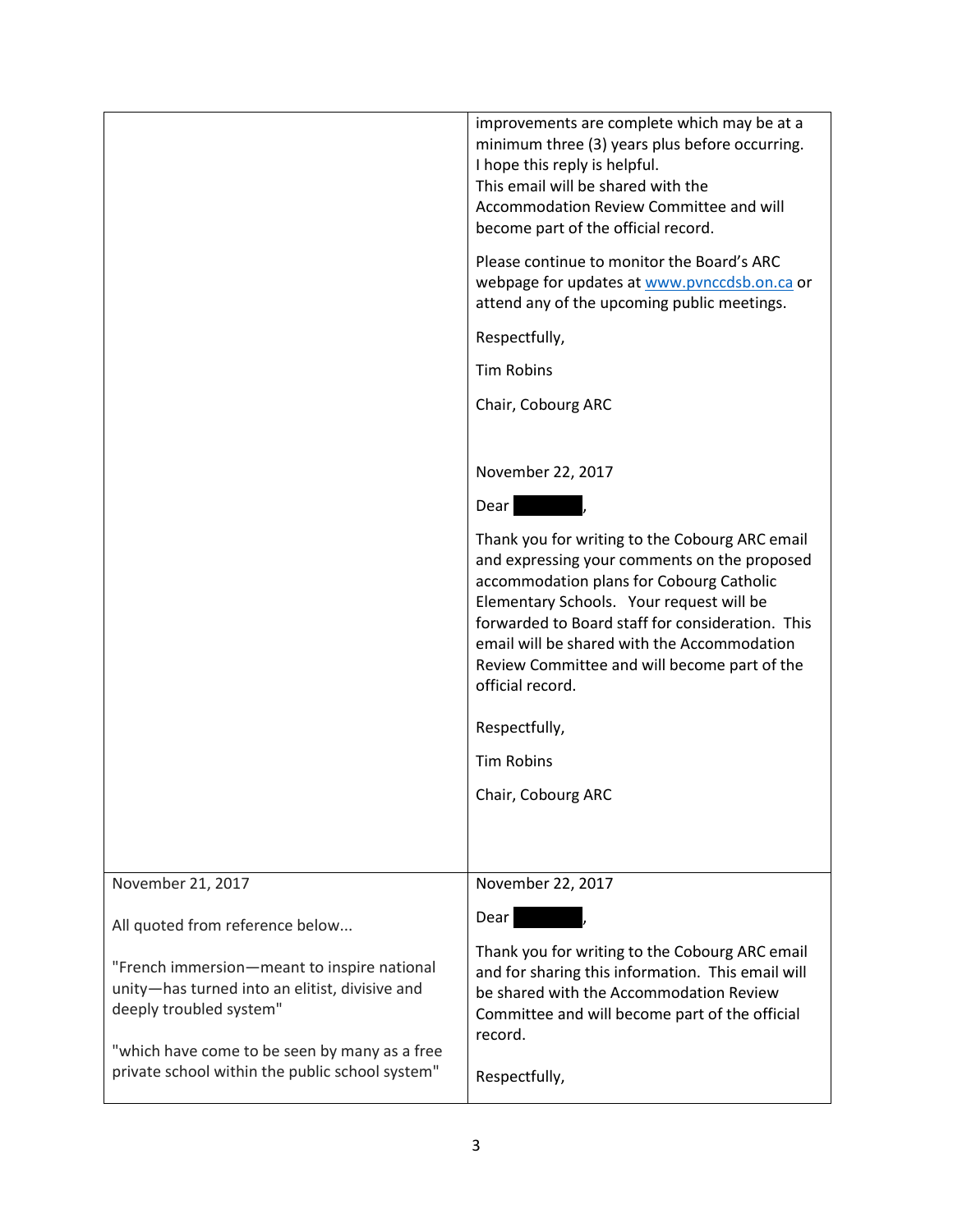|                                                                                                                          | improvements are complete which may be at a<br>minimum three (3) years plus before occurring.<br>I hope this reply is helpful.<br>This email will be shared with the<br>Accommodation Review Committee and will<br>become part of the official record.                                                                                                        |
|--------------------------------------------------------------------------------------------------------------------------|---------------------------------------------------------------------------------------------------------------------------------------------------------------------------------------------------------------------------------------------------------------------------------------------------------------------------------------------------------------|
|                                                                                                                          | Please continue to monitor the Board's ARC<br>webpage for updates at www.pvnccdsb.on.ca or<br>attend any of the upcoming public meetings.                                                                                                                                                                                                                     |
|                                                                                                                          | Respectfully,                                                                                                                                                                                                                                                                                                                                                 |
|                                                                                                                          | <b>Tim Robins</b>                                                                                                                                                                                                                                                                                                                                             |
|                                                                                                                          | Chair, Cobourg ARC                                                                                                                                                                                                                                                                                                                                            |
|                                                                                                                          |                                                                                                                                                                                                                                                                                                                                                               |
|                                                                                                                          | November 22, 2017                                                                                                                                                                                                                                                                                                                                             |
|                                                                                                                          | Dear                                                                                                                                                                                                                                                                                                                                                          |
|                                                                                                                          | Thank you for writing to the Cobourg ARC email<br>and expressing your comments on the proposed<br>accommodation plans for Cobourg Catholic<br>Elementary Schools. Your request will be<br>forwarded to Board staff for consideration. This<br>email will be shared with the Accommodation<br>Review Committee and will become part of the<br>official record. |
|                                                                                                                          | Respectfully,                                                                                                                                                                                                                                                                                                                                                 |
|                                                                                                                          | <b>Tim Robins</b>                                                                                                                                                                                                                                                                                                                                             |
|                                                                                                                          | Chair, Cobourg ARC                                                                                                                                                                                                                                                                                                                                            |
|                                                                                                                          |                                                                                                                                                                                                                                                                                                                                                               |
| November 21, 2017                                                                                                        | November 22, 2017                                                                                                                                                                                                                                                                                                                                             |
| All quoted from reference below                                                                                          | Dear                                                                                                                                                                                                                                                                                                                                                          |
| "French immersion-meant to inspire national<br>unity-has turned into an elitist, divisive and<br>deeply troubled system" | Thank you for writing to the Cobourg ARC email<br>and for sharing this information. This email will<br>be shared with the Accommodation Review<br>Committee and will become part of the official<br>record.                                                                                                                                                   |
| "which have come to be seen by many as a free<br>private school within the public school system"                         | Respectfully,                                                                                                                                                                                                                                                                                                                                                 |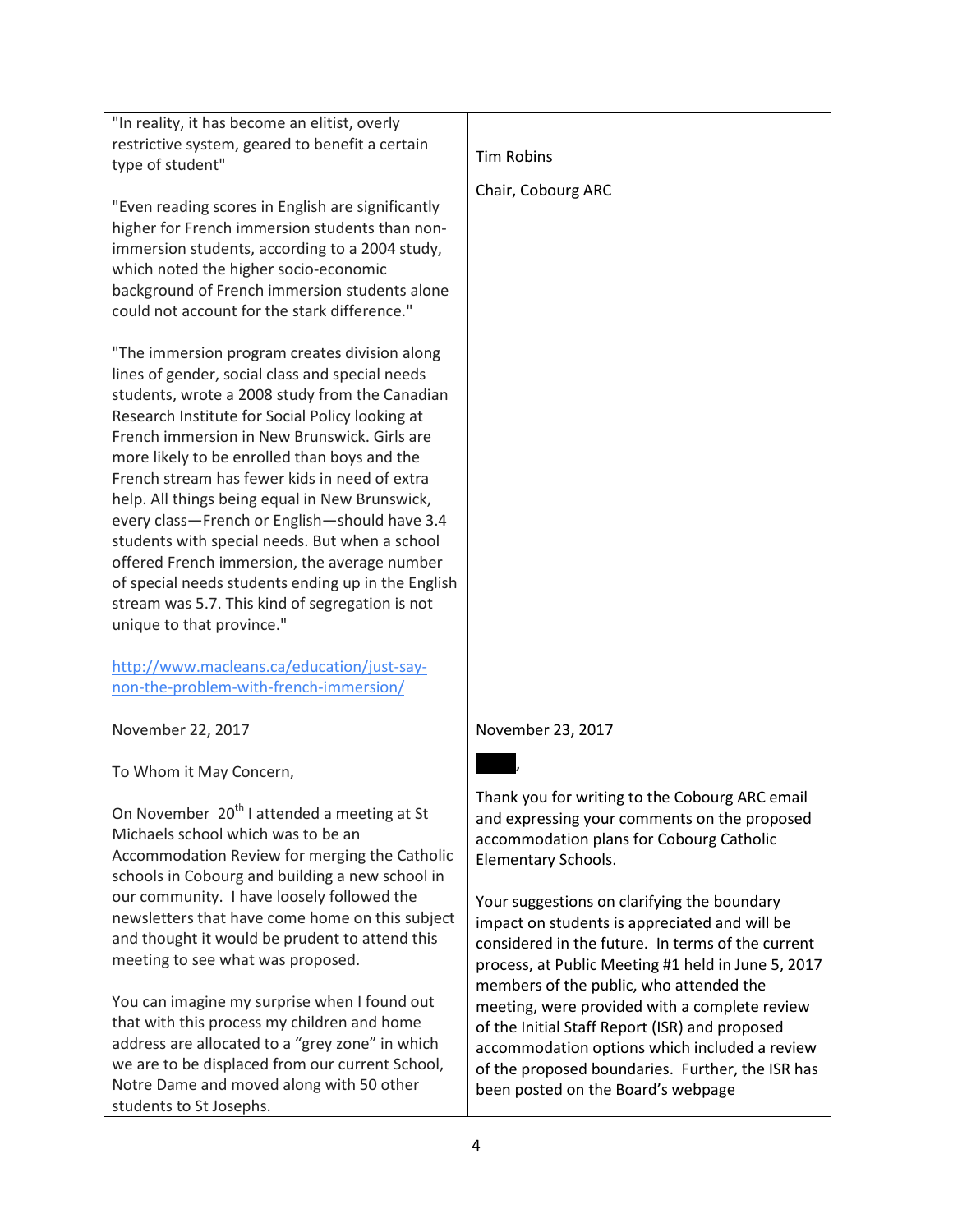| "In reality, it has become an elitist, overly<br>restrictive system, geared to benefit a certain                                                                                                                                                                                                                                                                                                                                                                                                                                                                                                                                                                                                                                                                                          |                                                                                                                                                                                                                                                                                                                                                                                                                                                                                                                            |
|-------------------------------------------------------------------------------------------------------------------------------------------------------------------------------------------------------------------------------------------------------------------------------------------------------------------------------------------------------------------------------------------------------------------------------------------------------------------------------------------------------------------------------------------------------------------------------------------------------------------------------------------------------------------------------------------------------------------------------------------------------------------------------------------|----------------------------------------------------------------------------------------------------------------------------------------------------------------------------------------------------------------------------------------------------------------------------------------------------------------------------------------------------------------------------------------------------------------------------------------------------------------------------------------------------------------------------|
| type of student"                                                                                                                                                                                                                                                                                                                                                                                                                                                                                                                                                                                                                                                                                                                                                                          | <b>Tim Robins</b>                                                                                                                                                                                                                                                                                                                                                                                                                                                                                                          |
| "Even reading scores in English are significantly<br>higher for French immersion students than non-<br>immersion students, according to a 2004 study,<br>which noted the higher socio-economic<br>background of French immersion students alone<br>could not account for the stark difference."                                                                                                                                                                                                                                                                                                                                                                                                                                                                                           | Chair, Cobourg ARC                                                                                                                                                                                                                                                                                                                                                                                                                                                                                                         |
| "The immersion program creates division along<br>lines of gender, social class and special needs<br>students, wrote a 2008 study from the Canadian<br>Research Institute for Social Policy looking at<br>French immersion in New Brunswick. Girls are<br>more likely to be enrolled than boys and the<br>French stream has fewer kids in need of extra<br>help. All things being equal in New Brunswick,<br>every class-French or English-should have 3.4<br>students with special needs. But when a school<br>offered French immersion, the average number<br>of special needs students ending up in the English<br>stream was 5.7. This kind of segregation is not<br>unique to that province."<br>http://www.macleans.ca/education/just-say-<br>non-the-problem-with-french-immersion/ |                                                                                                                                                                                                                                                                                                                                                                                                                                                                                                                            |
| November 22, 2017                                                                                                                                                                                                                                                                                                                                                                                                                                                                                                                                                                                                                                                                                                                                                                         | November 23, 2017                                                                                                                                                                                                                                                                                                                                                                                                                                                                                                          |
| To Whom it May Concern,                                                                                                                                                                                                                                                                                                                                                                                                                                                                                                                                                                                                                                                                                                                                                                   |                                                                                                                                                                                                                                                                                                                                                                                                                                                                                                                            |
| On November 20 <sup>th</sup> I attended a meeting at St<br>Michaels school which was to be an<br>Accommodation Review for merging the Catholic<br>schools in Cobourg and building a new school in<br>our community. I have loosely followed the<br>newsletters that have come home on this subject<br>and thought it would be prudent to attend this<br>meeting to see what was proposed.<br>You can imagine my surprise when I found out<br>that with this process my children and home                                                                                                                                                                                                                                                                                                  | Thank you for writing to the Cobourg ARC email<br>and expressing your comments on the proposed<br>accommodation plans for Cobourg Catholic<br>Elementary Schools.<br>Your suggestions on clarifying the boundary<br>impact on students is appreciated and will be<br>considered in the future. In terms of the current<br>process, at Public Meeting #1 held in June 5, 2017<br>members of the public, who attended the<br>meeting, were provided with a complete review<br>of the Initial Staff Report (ISR) and proposed |
| address are allocated to a "grey zone" in which<br>we are to be displaced from our current School,<br>Notre Dame and moved along with 50 other<br>students to St Josephs.                                                                                                                                                                                                                                                                                                                                                                                                                                                                                                                                                                                                                 | accommodation options which included a review<br>of the proposed boundaries. Further, the ISR has<br>been posted on the Board's webpage                                                                                                                                                                                                                                                                                                                                                                                    |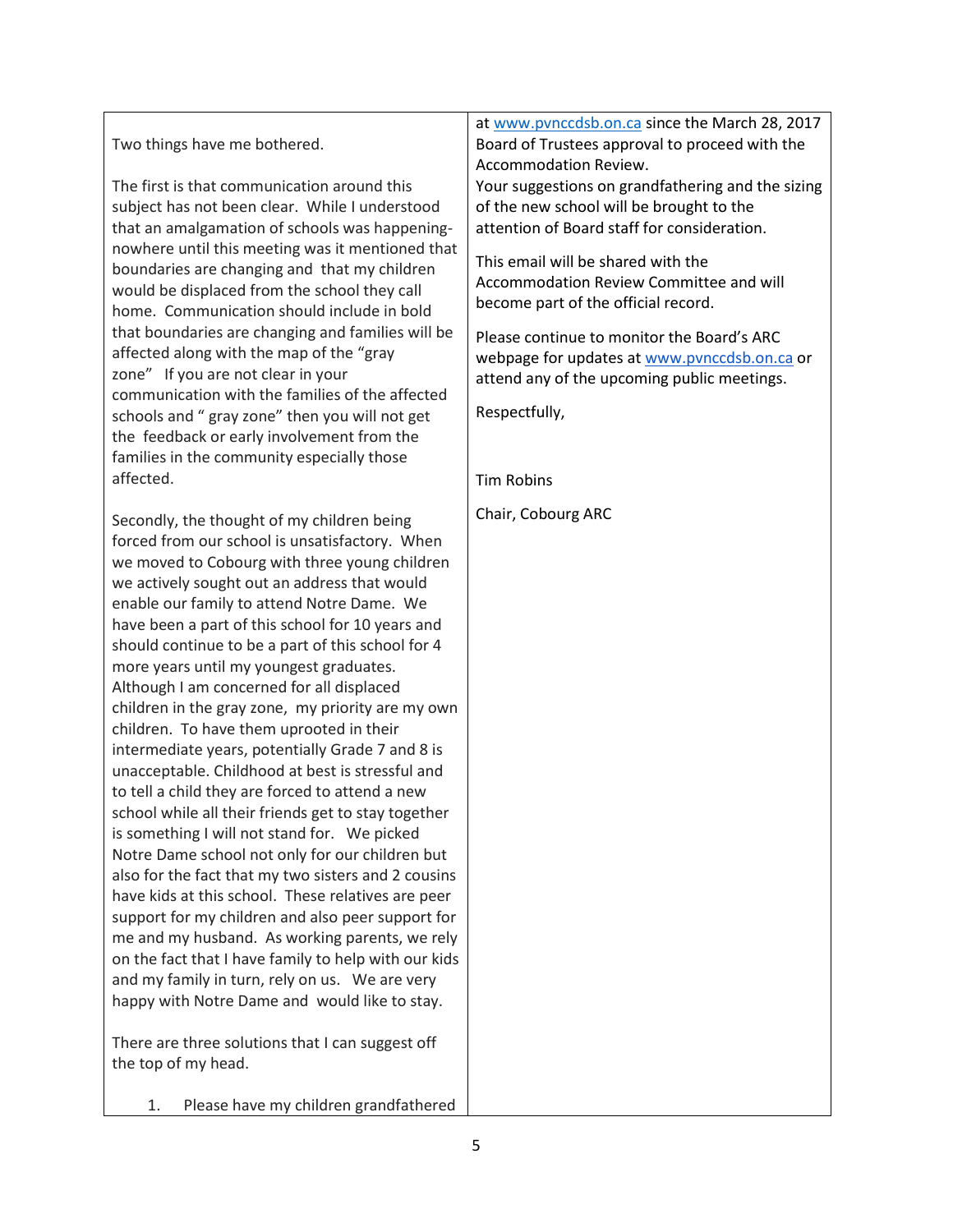Two things have me bothered.

The first is that communication around this subject has not been clear. While I understood that an amalgamation of schools was happeningnowhere until this meeting was it mentioned that boundaries are changing and that my children would be displaced from the school they call home. Communication should include in bold that boundaries are changing and families will be affected along with the map of the "gray zone" If you are not clear in your communication with the families of the affected schools and " gray zone" then you will not get the feedback or early involvement from the families in the community especially those affected.

Secondly, the thought of my children being forced from our school is unsatisfactory. When we moved to Cobourg with three young children we actively sought out an address that would enable our family to attend Notre Dame. We have been a part of this school for 10 years and should continue to be a part of this school for 4 more years until my youngest graduates. Although I am concerned for all displaced children in the gray zone, my priority are my own children. To have them uprooted in their intermediate years, potentially Grade 7 and 8 is unacceptable. Childhood at best is stressful and to tell a child they are forced to attend a new school while all their friends get to stay together is something I will not stand for. We picked Notre Dame school not only for our children but also for the fact that my two sisters and 2 cousins have kids at this school. These relatives are peer support for my children and also peer support for me and my husband. As working parents, we rely on the fact that I have family to help with our kids and my family in turn, rely on us. We are very happy with Notre Dame and would like to stay.

There are three solutions that I can suggest off the top of my head.

1. Please have my children grandfathered

at [www.pvnccdsb.on.ca](http://www.pvnccdsb.on.ca/) since the March 28, 2017 Board of Trustees approval to proceed with the Accommodation Review.

Your suggestions on grandfathering and the sizing of the new school will be brought to the attention of Board staff for consideration.

This email will be shared with the Accommodation Review Committee and will become part of the official record.

Please continue to monitor the Board's ARC webpage for updates at [www.pvnccdsb.on.ca](http://www.pvnccdsb.on.ca/) or attend any of the upcoming public meetings.

Respectfully,

Tim Robins

Chair, Cobourg ARC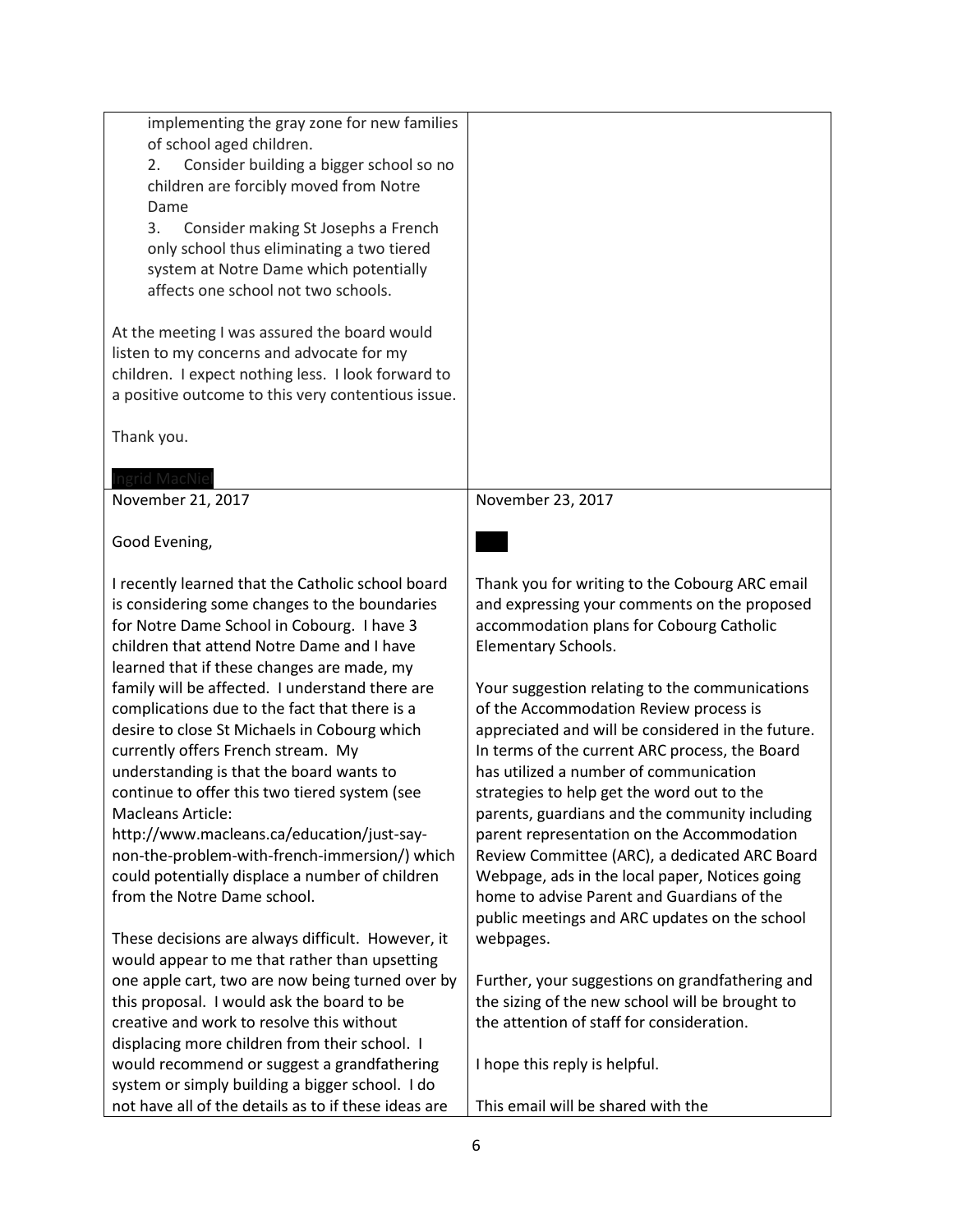| implementing the gray zone for new families<br>of school aged children.<br>Consider building a bigger school so no<br>2.<br>children are forcibly moved from Notre<br>Dame<br>3.<br>Consider making St Josephs a French<br>only school thus eliminating a two tiered<br>system at Notre Dame which potentially<br>affects one school not two schools.                                                                                                                                                                                                                                                                                                                                                                                                                                                 |                                                                                                                                                                                                                                                                                                                                                                                                                                                                                                                                                                                                                                                                                                                                                                             |
|-------------------------------------------------------------------------------------------------------------------------------------------------------------------------------------------------------------------------------------------------------------------------------------------------------------------------------------------------------------------------------------------------------------------------------------------------------------------------------------------------------------------------------------------------------------------------------------------------------------------------------------------------------------------------------------------------------------------------------------------------------------------------------------------------------|-----------------------------------------------------------------------------------------------------------------------------------------------------------------------------------------------------------------------------------------------------------------------------------------------------------------------------------------------------------------------------------------------------------------------------------------------------------------------------------------------------------------------------------------------------------------------------------------------------------------------------------------------------------------------------------------------------------------------------------------------------------------------------|
| At the meeting I was assured the board would<br>listen to my concerns and advocate for my<br>children. I expect nothing less. I look forward to<br>a positive outcome to this very contentious issue.                                                                                                                                                                                                                                                                                                                                                                                                                                                                                                                                                                                                 |                                                                                                                                                                                                                                                                                                                                                                                                                                                                                                                                                                                                                                                                                                                                                                             |
| Thank you.                                                                                                                                                                                                                                                                                                                                                                                                                                                                                                                                                                                                                                                                                                                                                                                            |                                                                                                                                                                                                                                                                                                                                                                                                                                                                                                                                                                                                                                                                                                                                                                             |
| ngrid MacNie<br>November 21, 2017                                                                                                                                                                                                                                                                                                                                                                                                                                                                                                                                                                                                                                                                                                                                                                     | November 23, 2017                                                                                                                                                                                                                                                                                                                                                                                                                                                                                                                                                                                                                                                                                                                                                           |
| Good Evening,                                                                                                                                                                                                                                                                                                                                                                                                                                                                                                                                                                                                                                                                                                                                                                                         |                                                                                                                                                                                                                                                                                                                                                                                                                                                                                                                                                                                                                                                                                                                                                                             |
| I recently learned that the Catholic school board<br>is considering some changes to the boundaries<br>for Notre Dame School in Cobourg. I have 3<br>children that attend Notre Dame and I have<br>learned that if these changes are made, my<br>family will be affected. I understand there are<br>complications due to the fact that there is a<br>desire to close St Michaels in Cobourg which<br>currently offers French stream. My<br>understanding is that the board wants to<br>continue to offer this two tiered system (see<br><b>Macleans Article:</b><br>http://www.macleans.ca/education/just-say-<br>non-the-problem-with-french-immersion/) which<br>could potentially displace a number of children<br>from the Notre Dame school.<br>These decisions are always difficult. However, it | Thank you for writing to the Cobourg ARC email<br>and expressing your comments on the proposed<br>accommodation plans for Cobourg Catholic<br>Elementary Schools.<br>Your suggestion relating to the communications<br>of the Accommodation Review process is<br>appreciated and will be considered in the future.<br>In terms of the current ARC process, the Board<br>has utilized a number of communication<br>strategies to help get the word out to the<br>parents, guardians and the community including<br>parent representation on the Accommodation<br>Review Committee (ARC), a dedicated ARC Board<br>Webpage, ads in the local paper, Notices going<br>home to advise Parent and Guardians of the<br>public meetings and ARC updates on the school<br>webpages. |
| would appear to me that rather than upsetting<br>one apple cart, two are now being turned over by<br>this proposal. I would ask the board to be<br>creative and work to resolve this without<br>displacing more children from their school. I                                                                                                                                                                                                                                                                                                                                                                                                                                                                                                                                                         | Further, your suggestions on grandfathering and<br>the sizing of the new school will be brought to<br>the attention of staff for consideration.                                                                                                                                                                                                                                                                                                                                                                                                                                                                                                                                                                                                                             |
| would recommend or suggest a grandfathering<br>system or simply building a bigger school. I do<br>not have all of the details as to if these ideas are                                                                                                                                                                                                                                                                                                                                                                                                                                                                                                                                                                                                                                                | I hope this reply is helpful.<br>This email will be shared with the                                                                                                                                                                                                                                                                                                                                                                                                                                                                                                                                                                                                                                                                                                         |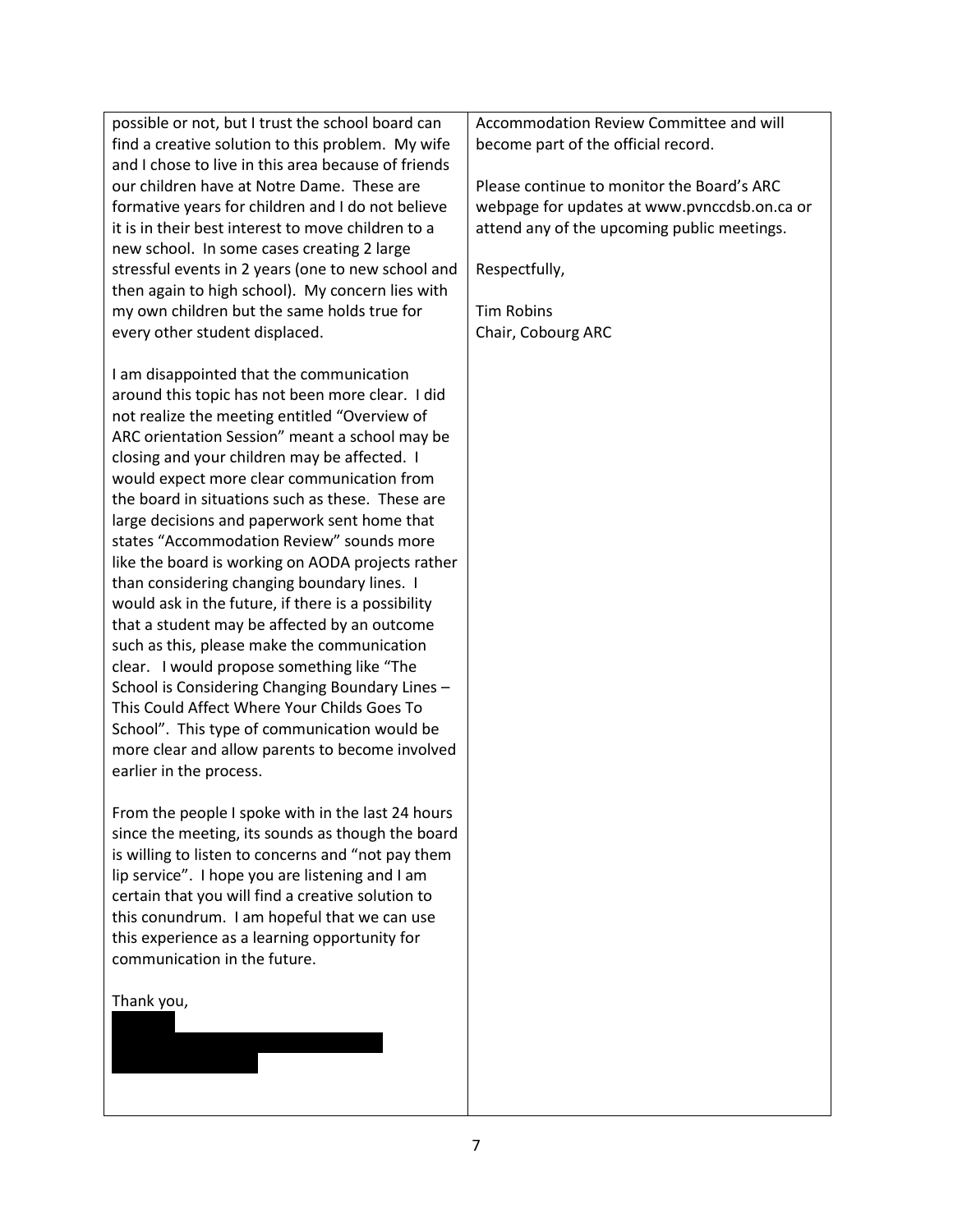possible or not, but I trust the school board can find a creative solution to this problem. My wife and I chose to live in this area because of friends our children have at Notre Dame. These are formative years for children and I do not believe it is in their best interest to move children to a new school. In some cases creating 2 large stressful events in 2 years (one to new school and then again to high school). My concern lies with my own children but the same holds true for every other student displaced.

I am disappointed that the communication around this topic has not been more clear. I did not realize the meeting entitled "Overview of ARC orientation Session" meant a school may be closing and your children may be affected. I would expect more clear communication from the board in situations such as these. These are large decisions and paperwork sent home that states "Accommodation Review" sounds more like the board is working on AODA projects rather than considering changing boundary lines. I would ask in the future, if there is a possibility that a student may be affected by an outcome such as this, please make the communication clear. I would propose something like "The School is Considering Changing Boundary Lines – This Could Affect Where Your Childs Goes To School". This type of communication would be more clear and allow parents to become involved earlier in the process.

From the people I spoke with in the last 24 hours since the meeting, its sounds as though the board is willing to listen to concerns and "not pay them lip service". I hope you are listening and I am certain that you will find a creative solution to this conundrum. I am hopeful that we can use this experience as a learning opportunity for communication in the future.

Thank you,

Accommodation Review Committee and will become part of the official record.

Please continue to monitor the Board's ARC webpage for updates at www.pvnccdsb.on.ca or attend any of the upcoming public meetings.

Respectfully,

Tim Robins Chair, Cobourg ARC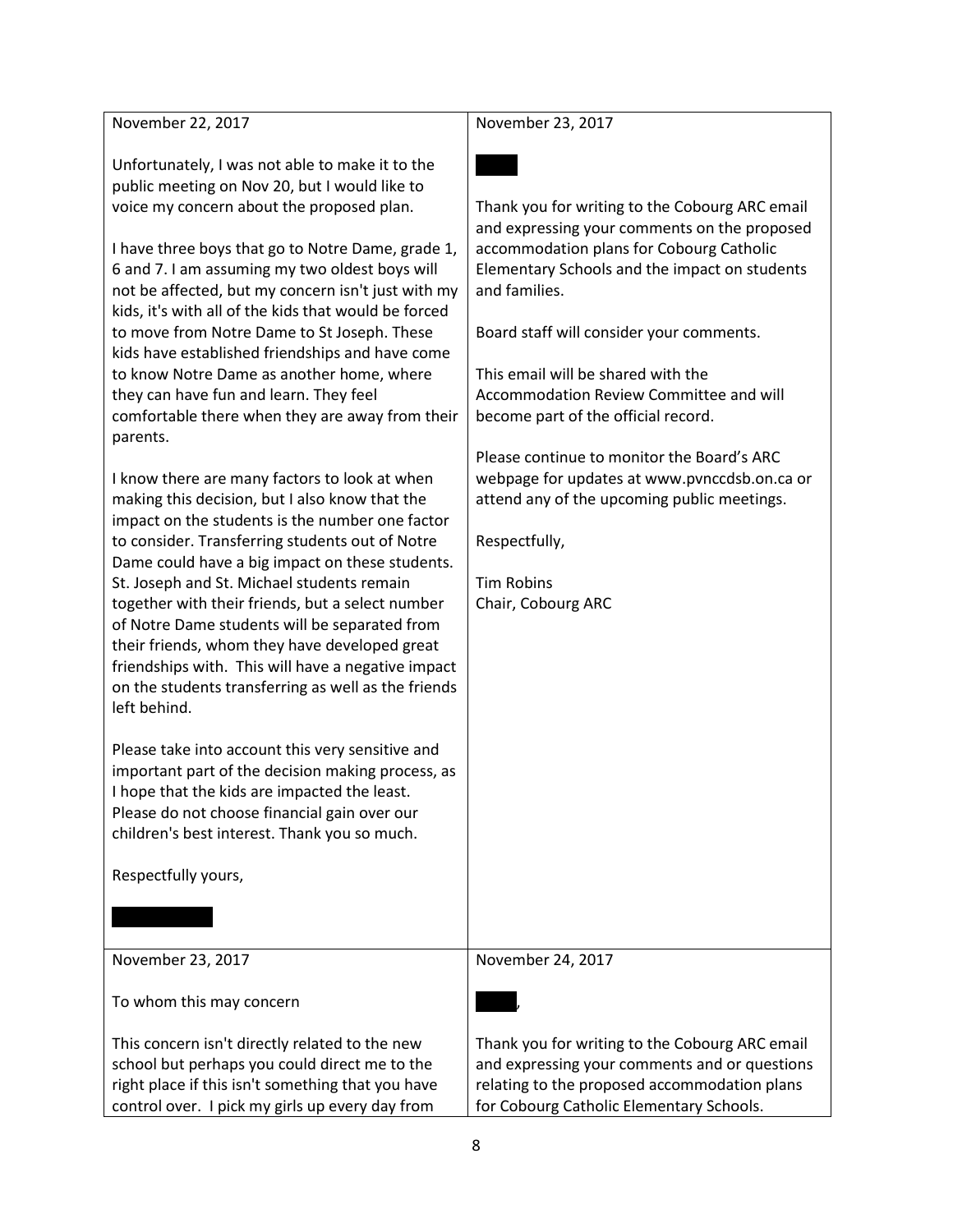November 22, 2017

Unfortunately, I was not able to make it to the public meeting on Nov 20, but I would like to voice my concern about the proposed plan.

I have three boys that go to Notre Dame, grade 1, 6 and 7. I am assuming my two oldest boys will not be affected, but my concern isn't just with my kids, it's with all of the kids that would be forced to move from Notre Dame to St Joseph. These kids have established friendships and have come to know Notre Dame as another home, where they can have fun and learn. They feel comfortable there when they are away from their parents.

I know there are many factors to look at when making this decision, but I also know that the impact on the students is the number one factor to consider. Transferring students out of Notre Dame could have a big impact on these students. St. Joseph and St. Michael students remain together with their friends, but a select number of Notre Dame students will be separated from their friends, whom they have developed great friendships with. This will have a negative impact on the students transferring as well as the friends left behind.

Please take into account this very sensitive and important part of the decision making process, as I hope that the kids are impacted the least. Please do not choose financial gain over our children's best interest. Thank you so much.

Respectfully yours,

November 23, 2017

November 23, 2017



Thank you for writing to the Cobourg ARC email and expressing your comments on the proposed accommodation plans for Cobourg Catholic Elementary Schools and the impact on students and families.

Board staff will consider your comments.

This email will be shared with the Accommodation Review Committee and will become part of the official record.

Please continue to monitor the Board's ARC webpage for updates at www.pvnccdsb.on.ca or attend any of the upcoming public meetings.

Respectfully,

Tim Robins Chair, Cobourg ARC

November 24, 2017

Becky,

To whom this may concern

This concern isn't directly related to the new school but perhaps you could direct me to the right place if this isn't something that you have control over. I pick my girls up every day from

Thank you for writing to the Cobourg ARC email and expressing your comments and or questions relating to the proposed accommodation plans for Cobourg Catholic Elementary Schools.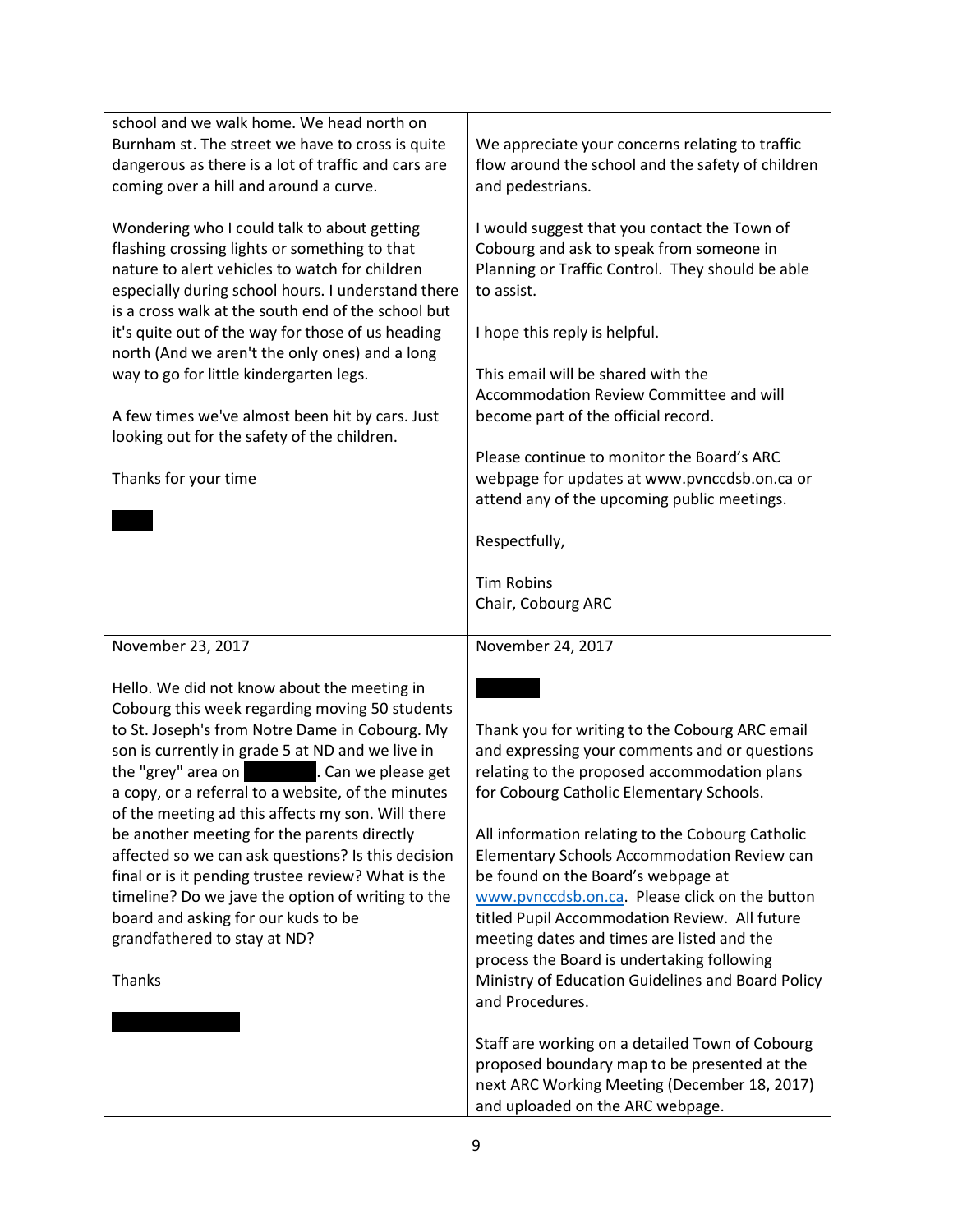| school and we walk home. We head north on<br>Burnham st. The street we have to cross is quite<br>dangerous as there is a lot of traffic and cars are<br>coming over a hill and around a curve.                                                                                                                                                                                                                                                                                                                                                                                                                                                               | We appreciate your concerns relating to traffic<br>flow around the school and the safety of children<br>and pedestrians.                                                                                                                                                                                                                                                                                                                                                                                                                                                                                    |
|--------------------------------------------------------------------------------------------------------------------------------------------------------------------------------------------------------------------------------------------------------------------------------------------------------------------------------------------------------------------------------------------------------------------------------------------------------------------------------------------------------------------------------------------------------------------------------------------------------------------------------------------------------------|-------------------------------------------------------------------------------------------------------------------------------------------------------------------------------------------------------------------------------------------------------------------------------------------------------------------------------------------------------------------------------------------------------------------------------------------------------------------------------------------------------------------------------------------------------------------------------------------------------------|
| Wondering who I could talk to about getting<br>flashing crossing lights or something to that<br>nature to alert vehicles to watch for children<br>especially during school hours. I understand there<br>is a cross walk at the south end of the school but<br>it's quite out of the way for those of us heading<br>north (And we aren't the only ones) and a long<br>way to go for little kindergarten legs.<br>A few times we've almost been hit by cars. Just<br>looking out for the safety of the children.<br>Thanks for your time                                                                                                                       | I would suggest that you contact the Town of<br>Cobourg and ask to speak from someone in<br>Planning or Traffic Control. They should be able<br>to assist.<br>I hope this reply is helpful.<br>This email will be shared with the<br>Accommodation Review Committee and will<br>become part of the official record.<br>Please continue to monitor the Board's ARC<br>webpage for updates at www.pvnccdsb.on.ca or<br>attend any of the upcoming public meetings.<br>Respectfully,<br><b>Tim Robins</b><br>Chair, Cobourg ARC                                                                                |
| November 23, 2017                                                                                                                                                                                                                                                                                                                                                                                                                                                                                                                                                                                                                                            | November 24, 2017                                                                                                                                                                                                                                                                                                                                                                                                                                                                                                                                                                                           |
| Hello. We did not know about the meeting in<br>Cobourg this week regarding moving 50 students<br>to St. Joseph's from Notre Dame in Cobourg. My<br>son is currently in grade 5 at ND and we live in<br>the "grey" area on<br>. Can we please get<br>a copy, or a referral to a website, of the minutes<br>of the meeting ad this affects my son. Will there<br>be another meeting for the parents directly<br>affected so we can ask questions? Is this decision<br>final or is it pending trustee review? What is the<br>timeline? Do we jave the option of writing to the<br>board and asking for our kuds to be<br>grandfathered to stay at ND?<br>Thanks | Thank you for writing to the Cobourg ARC email<br>and expressing your comments and or questions<br>relating to the proposed accommodation plans<br>for Cobourg Catholic Elementary Schools.<br>All information relating to the Cobourg Catholic<br>Elementary Schools Accommodation Review can<br>be found on the Board's webpage at<br>www.pvnccdsb.on.ca. Please click on the button<br>titled Pupil Accommodation Review. All future<br>meeting dates and times are listed and the<br>process the Board is undertaking following<br>Ministry of Education Guidelines and Board Policy<br>and Procedures. |
|                                                                                                                                                                                                                                                                                                                                                                                                                                                                                                                                                                                                                                                              | Staff are working on a detailed Town of Cobourg<br>proposed boundary map to be presented at the<br>next ARC Working Meeting (December 18, 2017)<br>and uploaded on the ARC webpage.                                                                                                                                                                                                                                                                                                                                                                                                                         |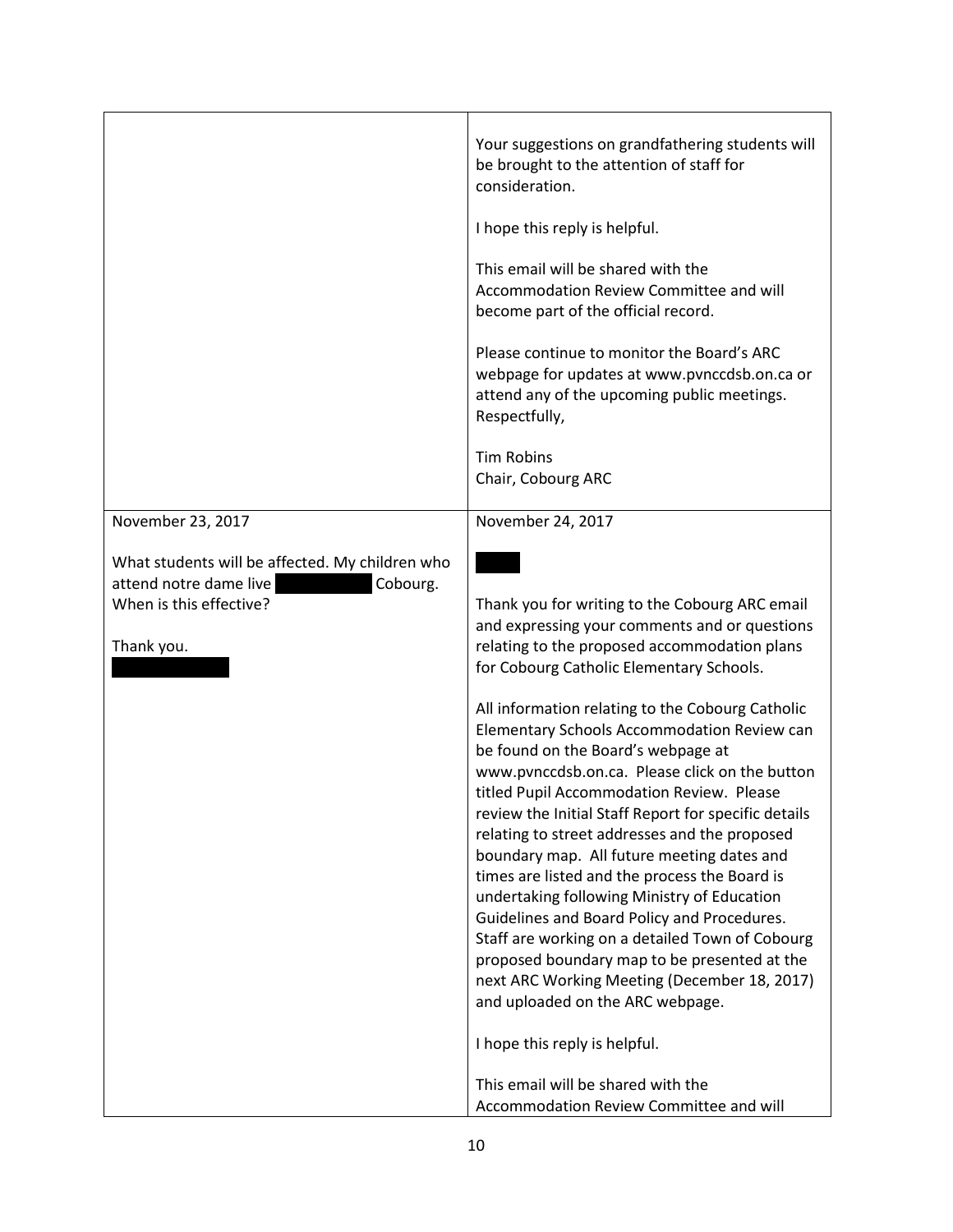|                                                                                                                                                     | Your suggestions on grandfathering students will<br>be brought to the attention of staff for<br>consideration.<br>I hope this reply is helpful.<br>This email will be shared with the<br>Accommodation Review Committee and will<br>become part of the official record.<br>Please continue to monitor the Board's ARC<br>webpage for updates at www.pvnccdsb.on.ca or<br>attend any of the upcoming public meetings.<br>Respectfully,                                                                                                                                                                                                                                                                                                                          |
|-----------------------------------------------------------------------------------------------------------------------------------------------------|----------------------------------------------------------------------------------------------------------------------------------------------------------------------------------------------------------------------------------------------------------------------------------------------------------------------------------------------------------------------------------------------------------------------------------------------------------------------------------------------------------------------------------------------------------------------------------------------------------------------------------------------------------------------------------------------------------------------------------------------------------------|
|                                                                                                                                                     | <b>Tim Robins</b><br>Chair, Cobourg ARC                                                                                                                                                                                                                                                                                                                                                                                                                                                                                                                                                                                                                                                                                                                        |
| November 23, 2017<br>What students will be affected. My children who<br>attend notre dame live<br>Cobourg.<br>When is this effective?<br>Thank you. | November 24, 2017<br>Thank you for writing to the Cobourg ARC email<br>and expressing your comments and or questions<br>relating to the proposed accommodation plans<br>for Cobourg Catholic Elementary Schools.<br>All information relating to the Cobourg Catholic<br>Elementary Schools Accommodation Review can<br>be found on the Board's webpage at<br>www.pvnccdsb.on.ca. Please click on the button<br>titled Pupil Accommodation Review. Please<br>review the Initial Staff Report for specific details<br>relating to street addresses and the proposed<br>boundary map. All future meeting dates and<br>times are listed and the process the Board is<br>undertaking following Ministry of Education<br>Guidelines and Board Policy and Procedures. |
|                                                                                                                                                     | Staff are working on a detailed Town of Cobourg<br>proposed boundary map to be presented at the<br>next ARC Working Meeting (December 18, 2017)<br>and uploaded on the ARC webpage.<br>I hope this reply is helpful.<br>This email will be shared with the<br>Accommodation Review Committee and will                                                                                                                                                                                                                                                                                                                                                                                                                                                          |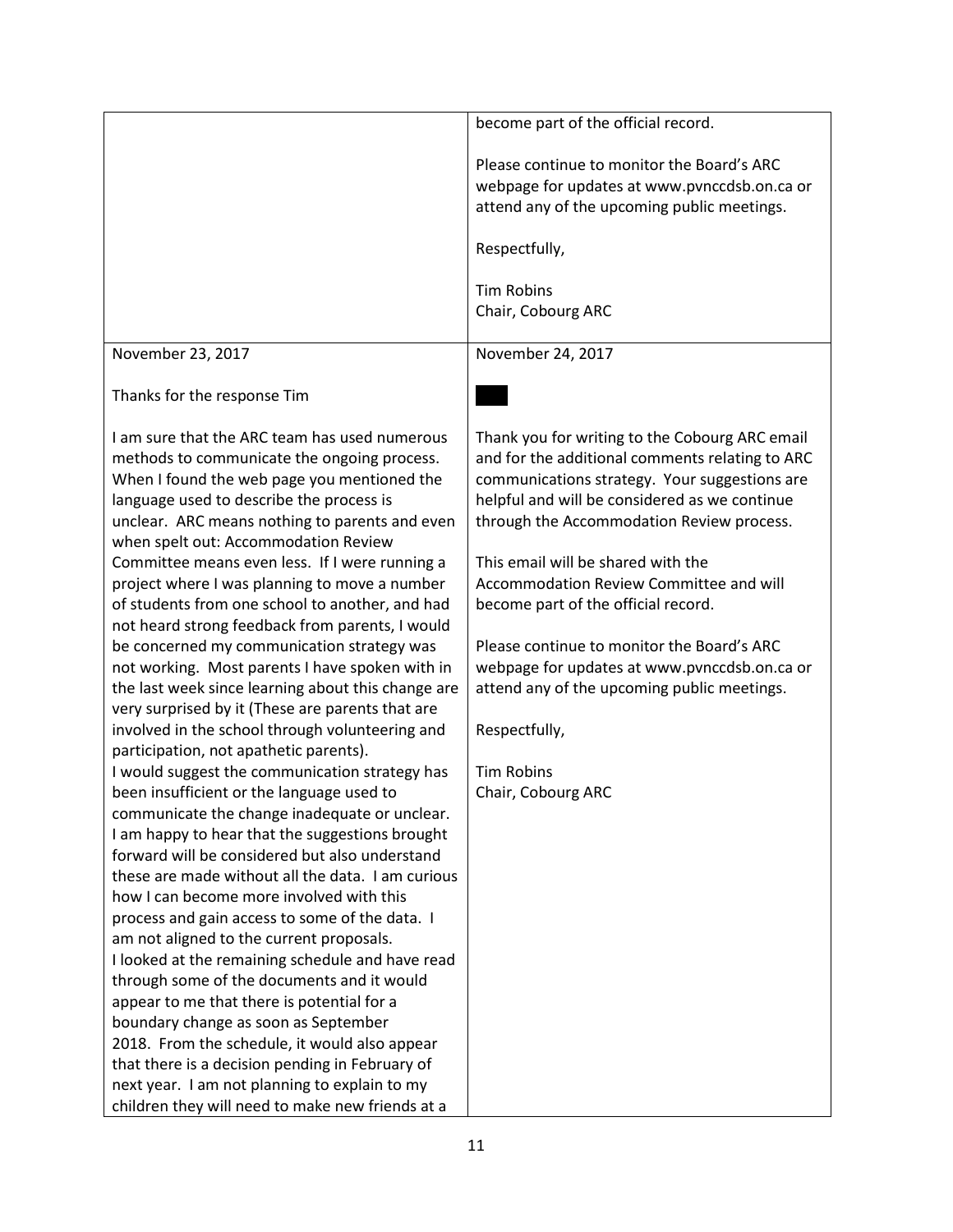|                                                                                                       | become part of the official record.             |
|-------------------------------------------------------------------------------------------------------|-------------------------------------------------|
|                                                                                                       | Please continue to monitor the Board's ARC      |
|                                                                                                       | webpage for updates at www.pvnccdsb.on.ca or    |
|                                                                                                       | attend any of the upcoming public meetings.     |
|                                                                                                       |                                                 |
|                                                                                                       | Respectfully,                                   |
|                                                                                                       | <b>Tim Robins</b>                               |
|                                                                                                       | Chair, Cobourg ARC                              |
|                                                                                                       |                                                 |
| November 23, 2017                                                                                     | November 24, 2017                               |
|                                                                                                       |                                                 |
| Thanks for the response Tim                                                                           |                                                 |
|                                                                                                       |                                                 |
| I am sure that the ARC team has used numerous                                                         | Thank you for writing to the Cobourg ARC email  |
| methods to communicate the ongoing process.                                                           | and for the additional comments relating to ARC |
| When I found the web page you mentioned the                                                           | communications strategy. Your suggestions are   |
| language used to describe the process is                                                              | helpful and will be considered as we continue   |
| unclear. ARC means nothing to parents and even                                                        | through the Accommodation Review process.       |
| when spelt out: Accommodation Review                                                                  |                                                 |
| Committee means even less. If I were running a                                                        | This email will be shared with the              |
| project where I was planning to move a number                                                         | Accommodation Review Committee and will         |
| of students from one school to another, and had                                                       | become part of the official record.             |
| not heard strong feedback from parents, I would                                                       | Please continue to monitor the Board's ARC      |
| be concerned my communication strategy was                                                            | webpage for updates at www.pvnccdsb.on.ca or    |
| not working. Most parents I have spoken with in<br>the last week since learning about this change are | attend any of the upcoming public meetings.     |
| very surprised by it (These are parents that are                                                      |                                                 |
| involved in the school through volunteering and                                                       | Respectfully,                                   |
| participation, not apathetic parents).                                                                |                                                 |
| I would suggest the communication strategy has                                                        | <b>Tim Robins</b>                               |
| been insufficient or the language used to                                                             | Chair, Cobourg ARC                              |
| communicate the change inadequate or unclear.                                                         |                                                 |
| I am happy to hear that the suggestions brought                                                       |                                                 |
| forward will be considered but also understand                                                        |                                                 |
| these are made without all the data. I am curious                                                     |                                                 |
| how I can become more involved with this                                                              |                                                 |
| process and gain access to some of the data. I                                                        |                                                 |
| am not aligned to the current proposals.                                                              |                                                 |
| I looked at the remaining schedule and have read                                                      |                                                 |
| through some of the documents and it would                                                            |                                                 |
| appear to me that there is potential for a                                                            |                                                 |
| boundary change as soon as September                                                                  |                                                 |
| 2018. From the schedule, it would also appear                                                         |                                                 |
| that there is a decision pending in February of                                                       |                                                 |
| next year. I am not planning to explain to my                                                         |                                                 |
| children they will need to make new friends at a                                                      |                                                 |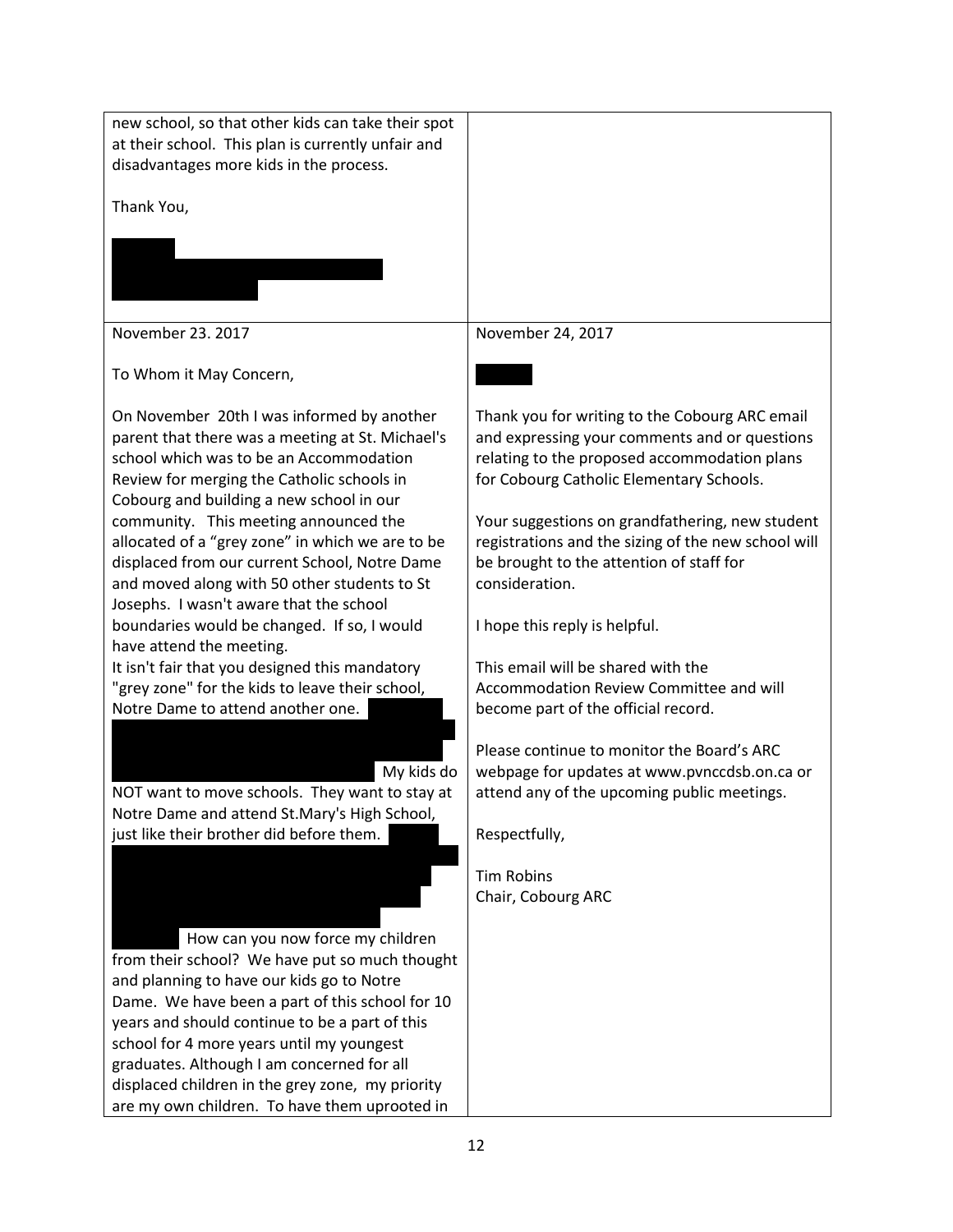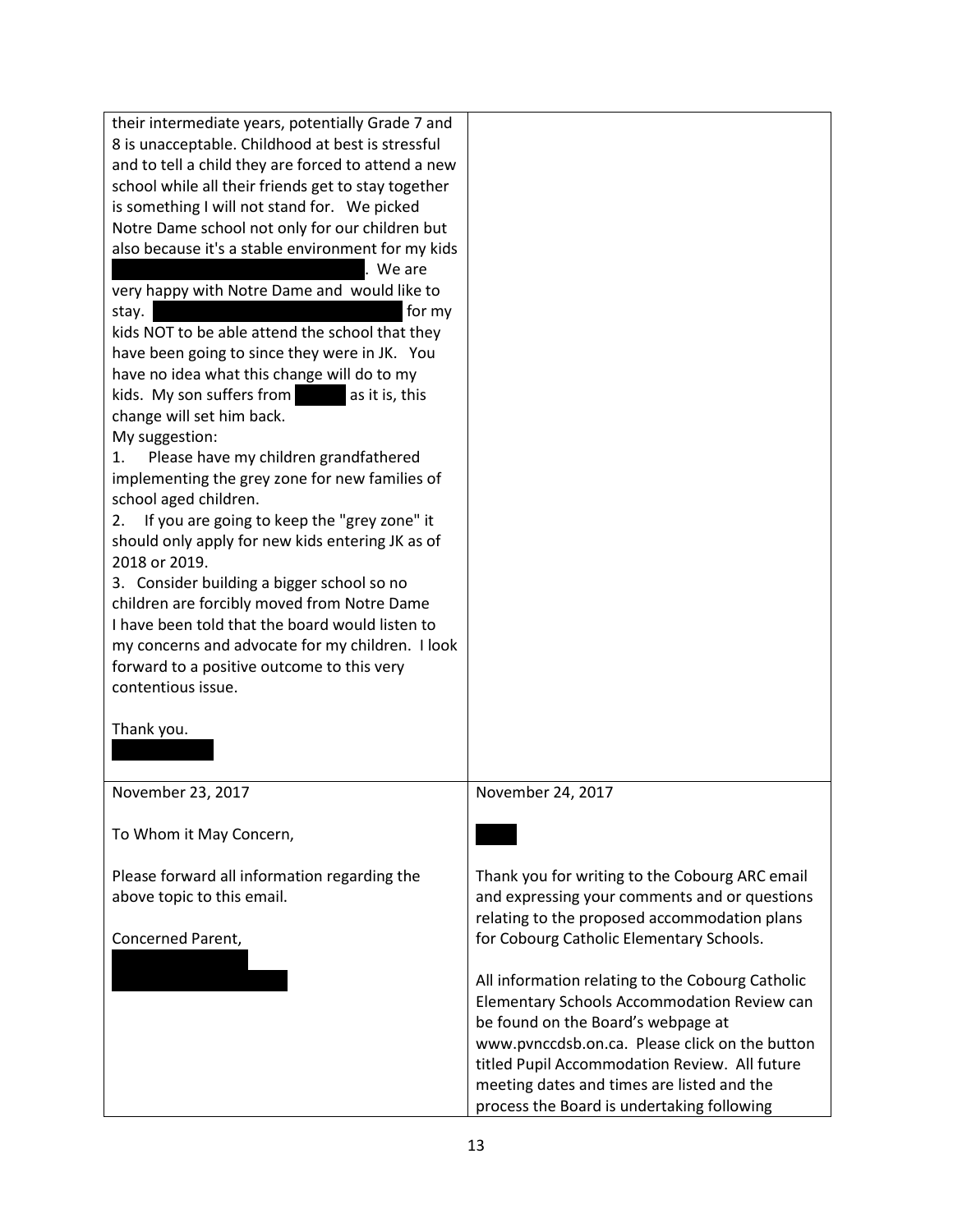| their intermediate years, potentially Grade 7 and   |                                                  |
|-----------------------------------------------------|--------------------------------------------------|
| 8 is unacceptable. Childhood at best is stressful   |                                                  |
| and to tell a child they are forced to attend a new |                                                  |
| school while all their friends get to stay together |                                                  |
| is something I will not stand for. We picked        |                                                  |
| Notre Dame school not only for our children but     |                                                  |
| also because it's a stable environment for my kids  |                                                  |
| We are                                              |                                                  |
| very happy with Notre Dame and would like to        |                                                  |
| for my<br>stay.                                     |                                                  |
| kids NOT to be able attend the school that they     |                                                  |
| have been going to since they were in JK. You       |                                                  |
| have no idea what this change will do to my         |                                                  |
| kids. My son suffers from<br>as it is, this         |                                                  |
| change will set him back.                           |                                                  |
| My suggestion:                                      |                                                  |
| Please have my children grandfathered<br>1.         |                                                  |
| implementing the grey zone for new families of      |                                                  |
| school aged children.                               |                                                  |
| If you are going to keep the "grey zone" it<br>2.   |                                                  |
| should only apply for new kids entering JK as of    |                                                  |
| 2018 or 2019.                                       |                                                  |
| 3. Consider building a bigger school so no          |                                                  |
| children are forcibly moved from Notre Dame         |                                                  |
| I have been told that the board would listen to     |                                                  |
| my concerns and advocate for my children. I look    |                                                  |
|                                                     |                                                  |
| forward to a positive outcome to this very          |                                                  |
| contentious issue.                                  |                                                  |
|                                                     |                                                  |
| Thank you.                                          |                                                  |
|                                                     |                                                  |
|                                                     |                                                  |
| November 23, 2017                                   | November 24, 2017                                |
|                                                     |                                                  |
| To Whom it May Concern,                             |                                                  |
|                                                     |                                                  |
| Please forward all information regarding the        | Thank you for writing to the Cobourg ARC email   |
| above topic to this email.                          | and expressing your comments and or questions    |
|                                                     | relating to the proposed accommodation plans     |
| Concerned Parent,                                   | for Cobourg Catholic Elementary Schools.         |
|                                                     |                                                  |
|                                                     | All information relating to the Cobourg Catholic |
|                                                     | Elementary Schools Accommodation Review can      |
|                                                     | be found on the Board's webpage at               |
|                                                     | www.pvnccdsb.on.ca. Please click on the button   |
|                                                     | titled Pupil Accommodation Review. All future    |
|                                                     | meeting dates and times are listed and the       |
|                                                     | process the Board is undertaking following       |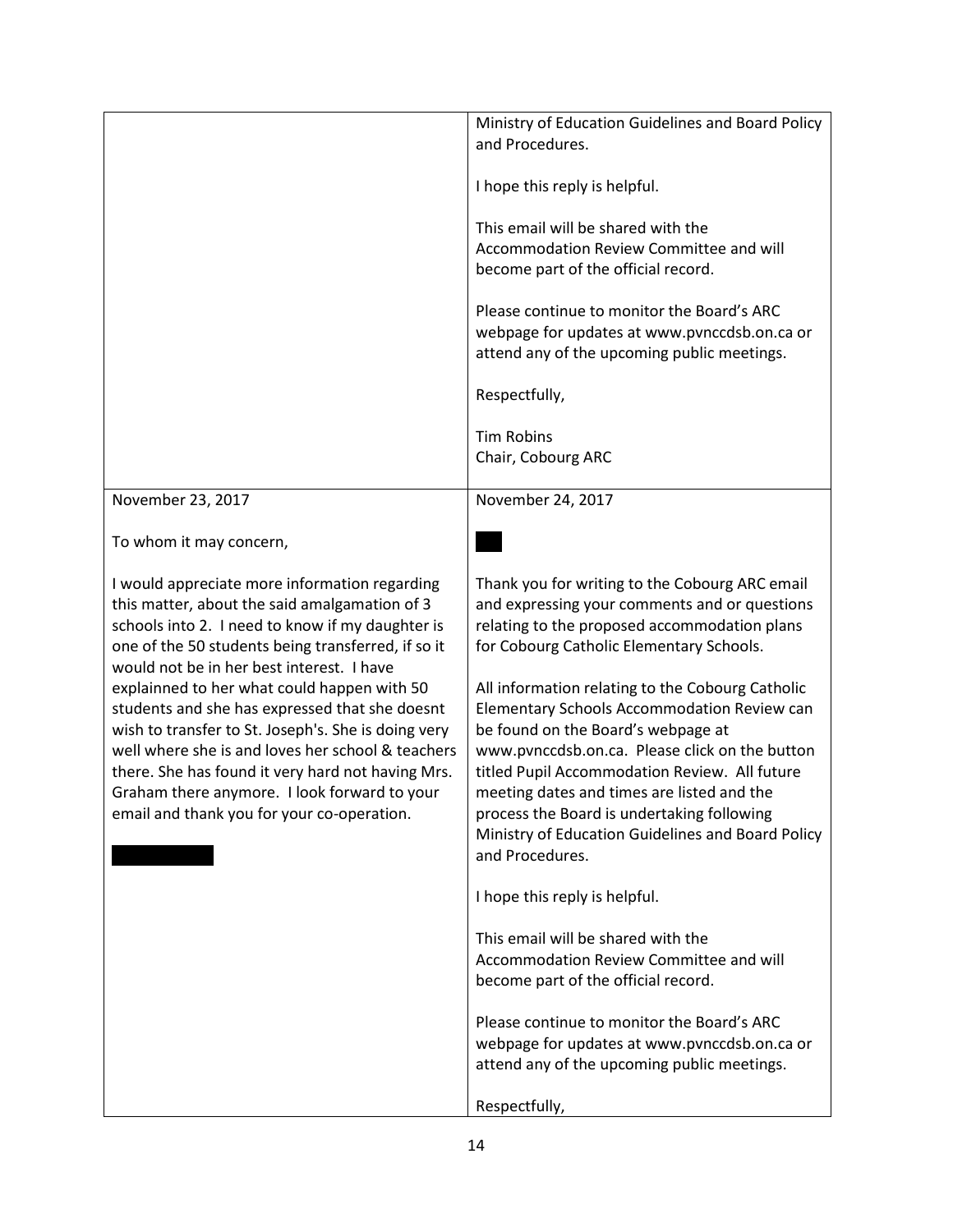|                                                                                                 | Ministry of Education Guidelines and Board Policy                                        |
|-------------------------------------------------------------------------------------------------|------------------------------------------------------------------------------------------|
|                                                                                                 | and Procedures.                                                                          |
|                                                                                                 | I hope this reply is helpful.                                                            |
|                                                                                                 | This email will be shared with the                                                       |
|                                                                                                 | Accommodation Review Committee and will                                                  |
|                                                                                                 | become part of the official record.                                                      |
|                                                                                                 | Please continue to monitor the Board's ARC                                               |
|                                                                                                 | webpage for updates at www.pvnccdsb.on.ca or                                             |
|                                                                                                 | attend any of the upcoming public meetings.                                              |
|                                                                                                 | Respectfully,                                                                            |
|                                                                                                 | <b>Tim Robins</b>                                                                        |
|                                                                                                 | Chair, Cobourg ARC                                                                       |
|                                                                                                 |                                                                                          |
| November 23, 2017                                                                               | November 24, 2017                                                                        |
| To whom it may concern,                                                                         |                                                                                          |
| I would appreciate more information regarding                                                   | Thank you for writing to the Cobourg ARC email                                           |
| this matter, about the said amalgamation of 3                                                   | and expressing your comments and or questions                                            |
| schools into 2. I need to know if my daughter is                                                | relating to the proposed accommodation plans                                             |
| one of the 50 students being transferred, if so it<br>would not be in her best interest. I have | for Cobourg Catholic Elementary Schools.                                                 |
| explainned to her what could happen with 50                                                     | All information relating to the Cobourg Catholic                                         |
| students and she has expressed that she doesnt                                                  | Elementary Schools Accommodation Review can                                              |
| wish to transfer to St. Joseph's. She is doing very                                             | be found on the Board's webpage at                                                       |
| well where she is and loves her school & teachers                                               | www.pvnccdsb.on.ca. Please click on the button                                           |
| there. She has found it very hard not having Mrs.                                               | titled Pupil Accommodation Review. All future                                            |
| Graham there anymore. I look forward to your                                                    | meeting dates and times are listed and the<br>process the Board is undertaking following |
| email and thank you for your co-operation.                                                      | Ministry of Education Guidelines and Board Policy                                        |
|                                                                                                 | and Procedures.                                                                          |
|                                                                                                 |                                                                                          |
|                                                                                                 | I hope this reply is helpful.                                                            |
|                                                                                                 | This email will be shared with the                                                       |
|                                                                                                 | Accommodation Review Committee and will                                                  |
|                                                                                                 | become part of the official record.                                                      |
|                                                                                                 | Please continue to monitor the Board's ARC                                               |
|                                                                                                 | webpage for updates at www.pvnccdsb.on.ca or                                             |
|                                                                                                 | attend any of the upcoming public meetings.                                              |
|                                                                                                 | Respectfully,                                                                            |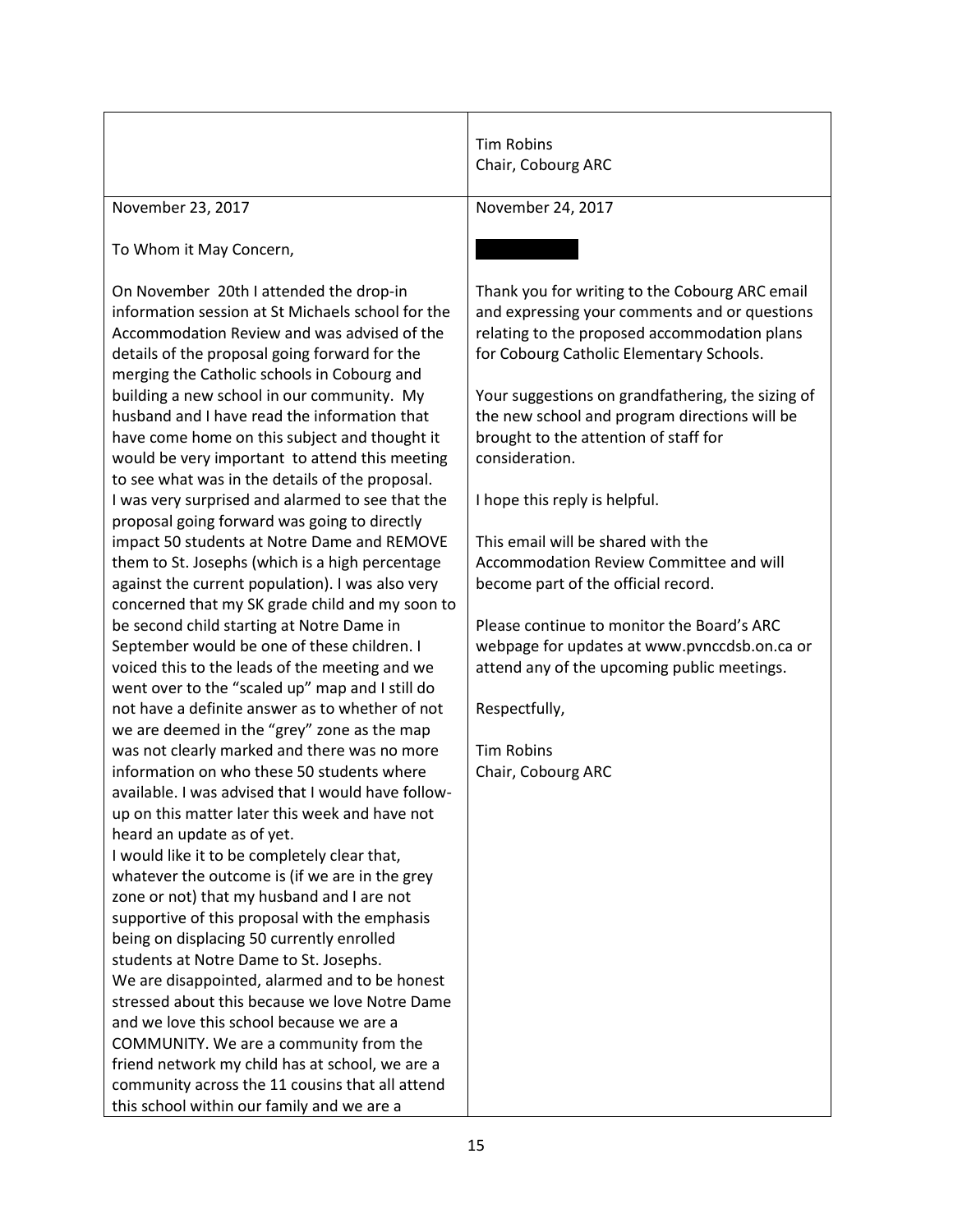|                                                                                                                                                                                                                                                                                                                                                                                                                                                                                                                                                                                                                                                                                                                                                                                                                                                                                                                                                                                                                                                                                                                                                                                                                                                                                                                                                                                                                                                                                                                                                                                                                                                                                                                                                                                                                                      | <b>Tim Robins</b><br>Chair, Cobourg ARC                                                                                                                                                                                                                                                                                                                                                                                                                                                                                                                                                                                                                                                                                        |
|--------------------------------------------------------------------------------------------------------------------------------------------------------------------------------------------------------------------------------------------------------------------------------------------------------------------------------------------------------------------------------------------------------------------------------------------------------------------------------------------------------------------------------------------------------------------------------------------------------------------------------------------------------------------------------------------------------------------------------------------------------------------------------------------------------------------------------------------------------------------------------------------------------------------------------------------------------------------------------------------------------------------------------------------------------------------------------------------------------------------------------------------------------------------------------------------------------------------------------------------------------------------------------------------------------------------------------------------------------------------------------------------------------------------------------------------------------------------------------------------------------------------------------------------------------------------------------------------------------------------------------------------------------------------------------------------------------------------------------------------------------------------------------------------------------------------------------------|--------------------------------------------------------------------------------------------------------------------------------------------------------------------------------------------------------------------------------------------------------------------------------------------------------------------------------------------------------------------------------------------------------------------------------------------------------------------------------------------------------------------------------------------------------------------------------------------------------------------------------------------------------------------------------------------------------------------------------|
| November 23, 2017                                                                                                                                                                                                                                                                                                                                                                                                                                                                                                                                                                                                                                                                                                                                                                                                                                                                                                                                                                                                                                                                                                                                                                                                                                                                                                                                                                                                                                                                                                                                                                                                                                                                                                                                                                                                                    | November 24, 2017                                                                                                                                                                                                                                                                                                                                                                                                                                                                                                                                                                                                                                                                                                              |
| To Whom it May Concern,                                                                                                                                                                                                                                                                                                                                                                                                                                                                                                                                                                                                                                                                                                                                                                                                                                                                                                                                                                                                                                                                                                                                                                                                                                                                                                                                                                                                                                                                                                                                                                                                                                                                                                                                                                                                              |                                                                                                                                                                                                                                                                                                                                                                                                                                                                                                                                                                                                                                                                                                                                |
| On November 20th I attended the drop-in<br>information session at St Michaels school for the<br>Accommodation Review and was advised of the<br>details of the proposal going forward for the<br>merging the Catholic schools in Cobourg and<br>building a new school in our community. My<br>husband and I have read the information that<br>have come home on this subject and thought it<br>would be very important to attend this meeting<br>to see what was in the details of the proposal.<br>I was very surprised and alarmed to see that the<br>proposal going forward was going to directly<br>impact 50 students at Notre Dame and REMOVE<br>them to St. Josephs (which is a high percentage<br>against the current population). I was also very<br>concerned that my SK grade child and my soon to<br>be second child starting at Notre Dame in<br>September would be one of these children. I<br>voiced this to the leads of the meeting and we<br>went over to the "scaled up" map and I still do<br>not have a definite answer as to whether of not<br>we are deemed in the "grey" zone as the map<br>was not clearly marked and there was no more<br>information on who these 50 students where<br>available. I was advised that I would have follow-<br>up on this matter later this week and have not<br>heard an update as of yet.<br>I would like it to be completely clear that,<br>whatever the outcome is (if we are in the grey<br>zone or not) that my husband and I are not<br>supportive of this proposal with the emphasis<br>being on displacing 50 currently enrolled<br>students at Notre Dame to St. Josephs.<br>We are disappointed, alarmed and to be honest<br>stressed about this because we love Notre Dame<br>and we love this school because we are a<br>COMMUNITY. We are a community from the | Thank you for writing to the Cobourg ARC email<br>and expressing your comments and or questions<br>relating to the proposed accommodation plans<br>for Cobourg Catholic Elementary Schools.<br>Your suggestions on grandfathering, the sizing of<br>the new school and program directions will be<br>brought to the attention of staff for<br>consideration.<br>I hope this reply is helpful.<br>This email will be shared with the<br>Accommodation Review Committee and will<br>become part of the official record.<br>Please continue to monitor the Board's ARC<br>webpage for updates at www.pvnccdsb.on.ca or<br>attend any of the upcoming public meetings.<br>Respectfully,<br><b>Tim Robins</b><br>Chair, Cobourg ARC |
| friend network my child has at school, we are a<br>community across the 11 cousins that all attend                                                                                                                                                                                                                                                                                                                                                                                                                                                                                                                                                                                                                                                                                                                                                                                                                                                                                                                                                                                                                                                                                                                                                                                                                                                                                                                                                                                                                                                                                                                                                                                                                                                                                                                                   |                                                                                                                                                                                                                                                                                                                                                                                                                                                                                                                                                                                                                                                                                                                                |
| this school within our family and we are a                                                                                                                                                                                                                                                                                                                                                                                                                                                                                                                                                                                                                                                                                                                                                                                                                                                                                                                                                                                                                                                                                                                                                                                                                                                                                                                                                                                                                                                                                                                                                                                                                                                                                                                                                                                           |                                                                                                                                                                                                                                                                                                                                                                                                                                                                                                                                                                                                                                                                                                                                |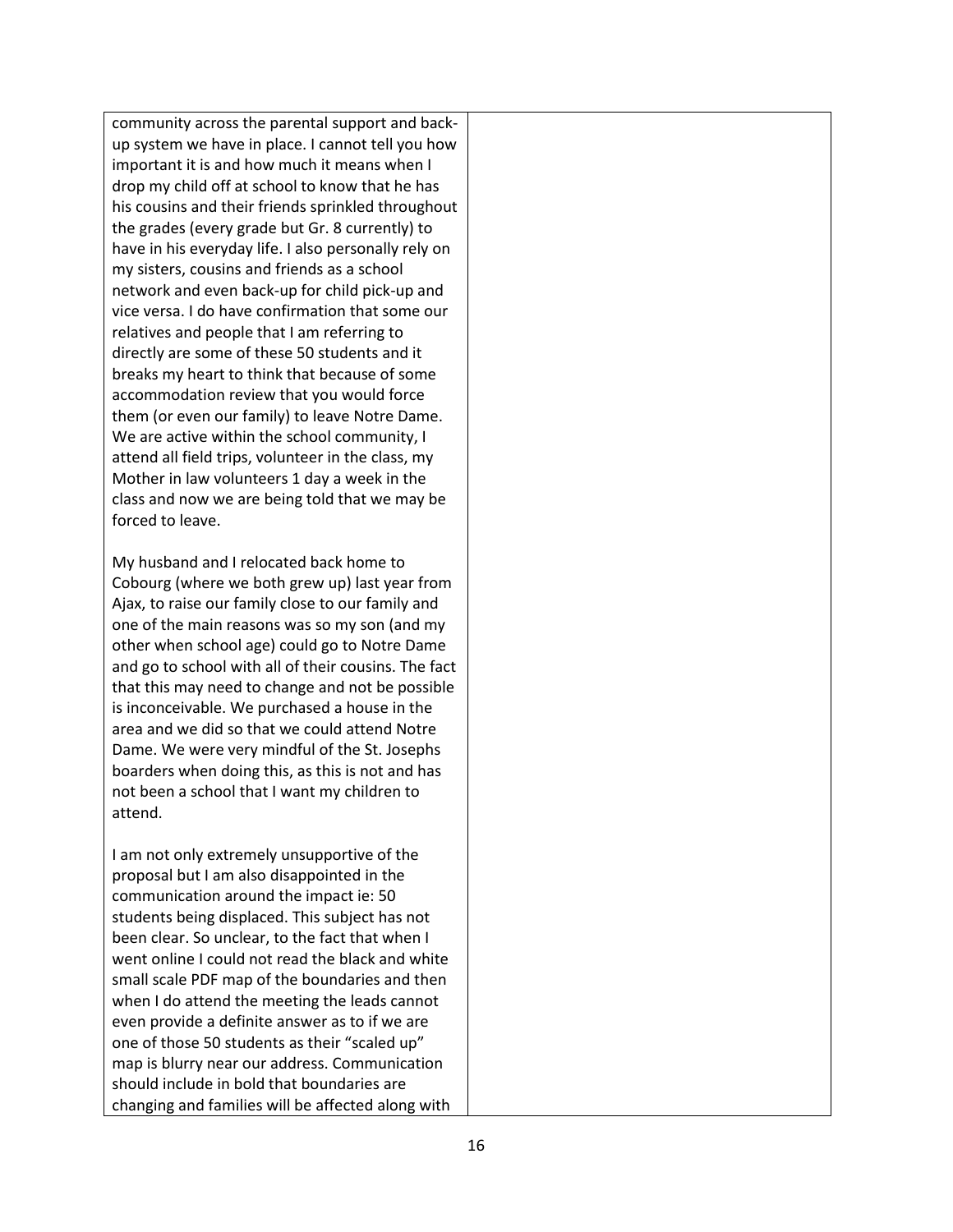community across the parental support and backup system we have in place. I cannot tell you how important it is and how much it means when I drop my child off at school to know that he has his cousins and their friends sprinkled throughout the grades (every grade but Gr. 8 currently) to have in his everyday life. I also personally rely on my sisters, cousins and friends as a school network and even back-up for child pick-up and vice versa. I do have confirmation that some our relatives and people that I am referring to directly are some of these 50 students and it breaks my heart to think that because of some accommodation review that you would force them (or even our family) to leave Notre Dame. We are active within the school community, I attend all field trips, volunteer in the class, my Mother in law volunteers 1 day a week in the class and now we are being told that we may be forced to leave.

My husband and I relocated back home to Cobourg (where we both grew up) last year from Ajax, to raise our family close to our family and one of the main reasons was so my son (and my other when school age) could go to Notre Dame and go to school with all of their cousins. The fact that this may need to change and not be possible is inconceivable. We purchased a house in the area and we did so that we could attend Notre Dame. We were very mindful of the St. Josephs boarders when doing this, as this is not and has not been a school that I want my children to attend.

I am not only extremely unsupportive of the proposal but I am also disappointed in the communication around the impact ie: 50 students being displaced. This subject has not been clear. So unclear, to the fact that when I went online I could not read the black and white small scale PDF map of the boundaries and then when I do attend the meeting the leads cannot even provide a definite answer as to if we are one of those 50 students as their "scaled up" map is blurry near our address. Communication should include in bold that boundaries are changing and families will be affected along with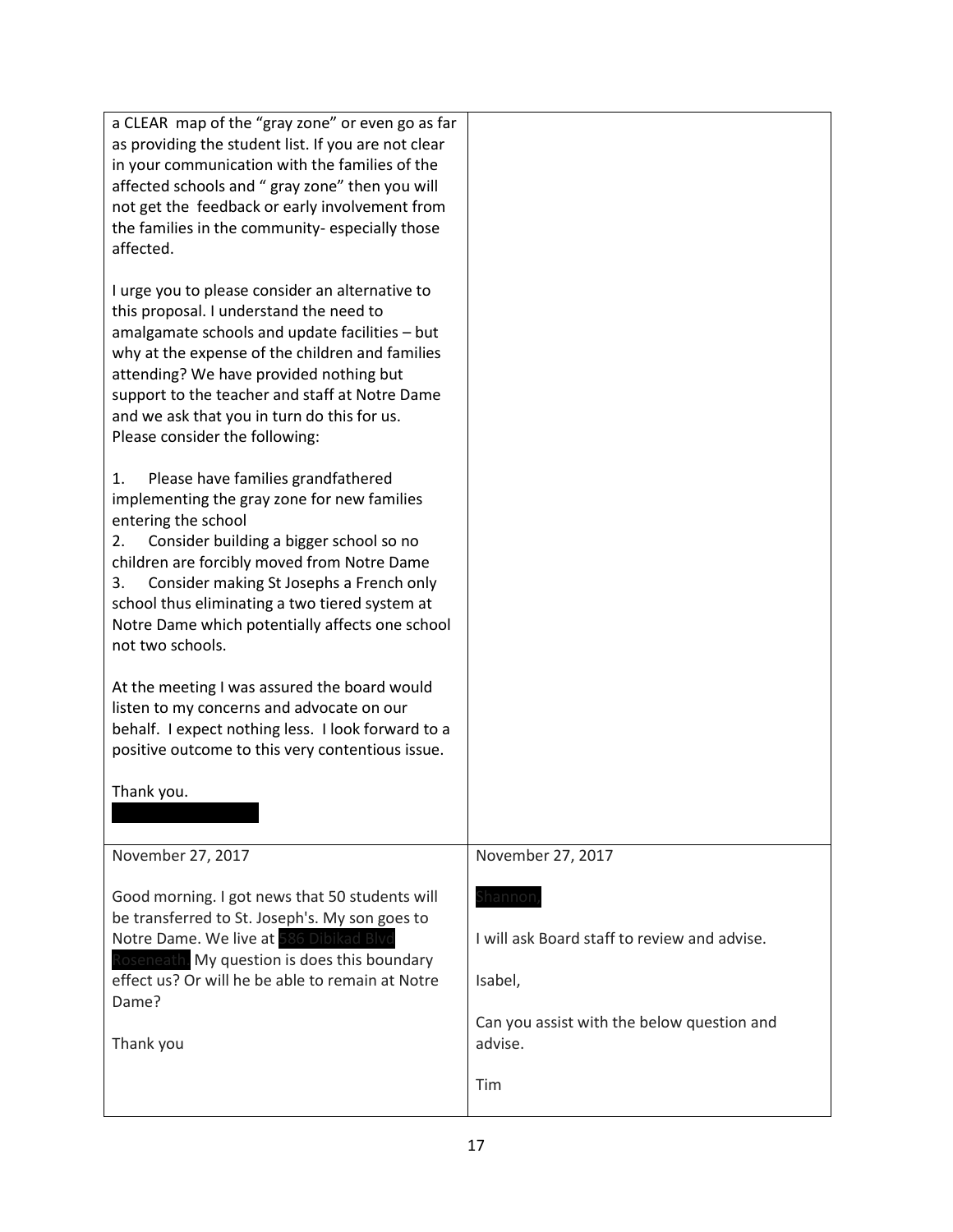| a CLEAR map of the "gray zone" or even go as far<br>as providing the student list. If you are not clear |                                                       |
|---------------------------------------------------------------------------------------------------------|-------------------------------------------------------|
| in your communication with the families of the<br>affected schools and " gray zone" then you will       |                                                       |
| not get the feedback or early involvement from                                                          |                                                       |
| the families in the community-especially those<br>affected.                                             |                                                       |
|                                                                                                         |                                                       |
| I urge you to please consider an alternative to<br>this proposal. I understand the need to              |                                                       |
| amalgamate schools and update facilities - but                                                          |                                                       |
| why at the expense of the children and families<br>attending? We have provided nothing but              |                                                       |
| support to the teacher and staff at Notre Dame                                                          |                                                       |
| and we ask that you in turn do this for us.<br>Please consider the following:                           |                                                       |
| Please have families grandfathered<br>1.                                                                |                                                       |
| implementing the gray zone for new families                                                             |                                                       |
| entering the school<br>Consider building a bigger school so no<br>2.                                    |                                                       |
| children are forcibly moved from Notre Dame                                                             |                                                       |
| Consider making St Josephs a French only<br>3.<br>school thus eliminating a two tiered system at        |                                                       |
| Notre Dame which potentially affects one school                                                         |                                                       |
| not two schools.                                                                                        |                                                       |
| At the meeting I was assured the board would                                                            |                                                       |
| listen to my concerns and advocate on our<br>behalf. I expect nothing less. I look forward to a         |                                                       |
| positive outcome to this very contentious issue.                                                        |                                                       |
| Thank you.                                                                                              |                                                       |
|                                                                                                         |                                                       |
| November 27, 2017                                                                                       | November 27, 2017                                     |
| Good morning. I got news that 50 students will                                                          | Shannon                                               |
| be transferred to St. Joseph's. My son goes to<br>Notre Dame. We live at 586 Dibikad Blvd               | I will ask Board staff to review and advise.          |
| Roseneath. My question is does this boundary                                                            |                                                       |
| effect us? Or will he be able to remain at Notre<br>Dame?                                               | Isabel,                                               |
| Thank you                                                                                               | Can you assist with the below question and<br>advise. |
|                                                                                                         | Tim                                                   |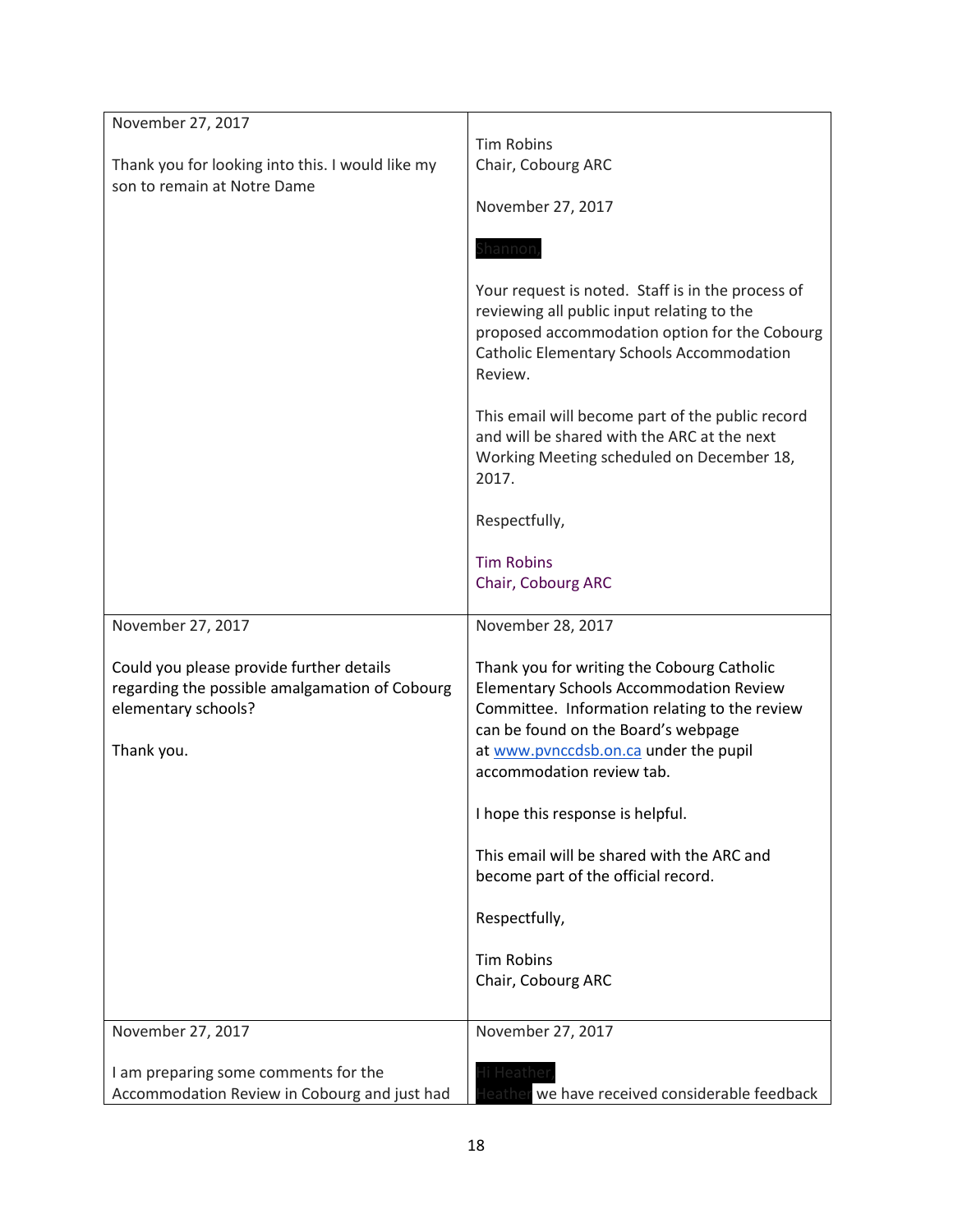| November 27, 2017<br>Thank you for looking into this. I would like my<br>son to remain at Notre Dame              | <b>Tim Robins</b><br>Chair, Cobourg ARC<br>November 27, 2017<br>Shannor<br>Your request is noted. Staff is in the process of<br>reviewing all public input relating to the<br>proposed accommodation option for the Cobourg<br><b>Catholic Elementary Schools Accommodation</b><br>Review.<br>This email will become part of the public record<br>and will be shared with the ARC at the next<br>Working Meeting scheduled on December 18,<br>2017.<br>Respectfully,<br><b>Tim Robins</b><br>Chair, Cobourg ARC |
|-------------------------------------------------------------------------------------------------------------------|-----------------------------------------------------------------------------------------------------------------------------------------------------------------------------------------------------------------------------------------------------------------------------------------------------------------------------------------------------------------------------------------------------------------------------------------------------------------------------------------------------------------|
| November 27, 2017                                                                                                 | November 28, 2017                                                                                                                                                                                                                                                                                                                                                                                                                                                                                               |
| Could you please provide further details<br>regarding the possible amalgamation of Cobourg<br>elementary schools? | Thank you for writing the Cobourg Catholic<br><b>Elementary Schools Accommodation Review</b><br>Committee. Information relating to the review<br>can be found on the Board's webpage                                                                                                                                                                                                                                                                                                                            |
| Thank you.                                                                                                        | at www.pvnccdsb.on.ca under the pupil<br>accommodation review tab.                                                                                                                                                                                                                                                                                                                                                                                                                                              |
|                                                                                                                   | I hope this response is helpful.                                                                                                                                                                                                                                                                                                                                                                                                                                                                                |
|                                                                                                                   | This email will be shared with the ARC and<br>become part of the official record.                                                                                                                                                                                                                                                                                                                                                                                                                               |
|                                                                                                                   | Respectfully,                                                                                                                                                                                                                                                                                                                                                                                                                                                                                                   |
|                                                                                                                   | <b>Tim Robins</b><br>Chair, Cobourg ARC                                                                                                                                                                                                                                                                                                                                                                                                                                                                         |
| November 27, 2017                                                                                                 | November 27, 2017                                                                                                                                                                                                                                                                                                                                                                                                                                                                                               |
| I am preparing some comments for the<br>Accommodation Review in Cobourg and just had                              | Heather<br>we have received considerable feedback                                                                                                                                                                                                                                                                                                                                                                                                                                                               |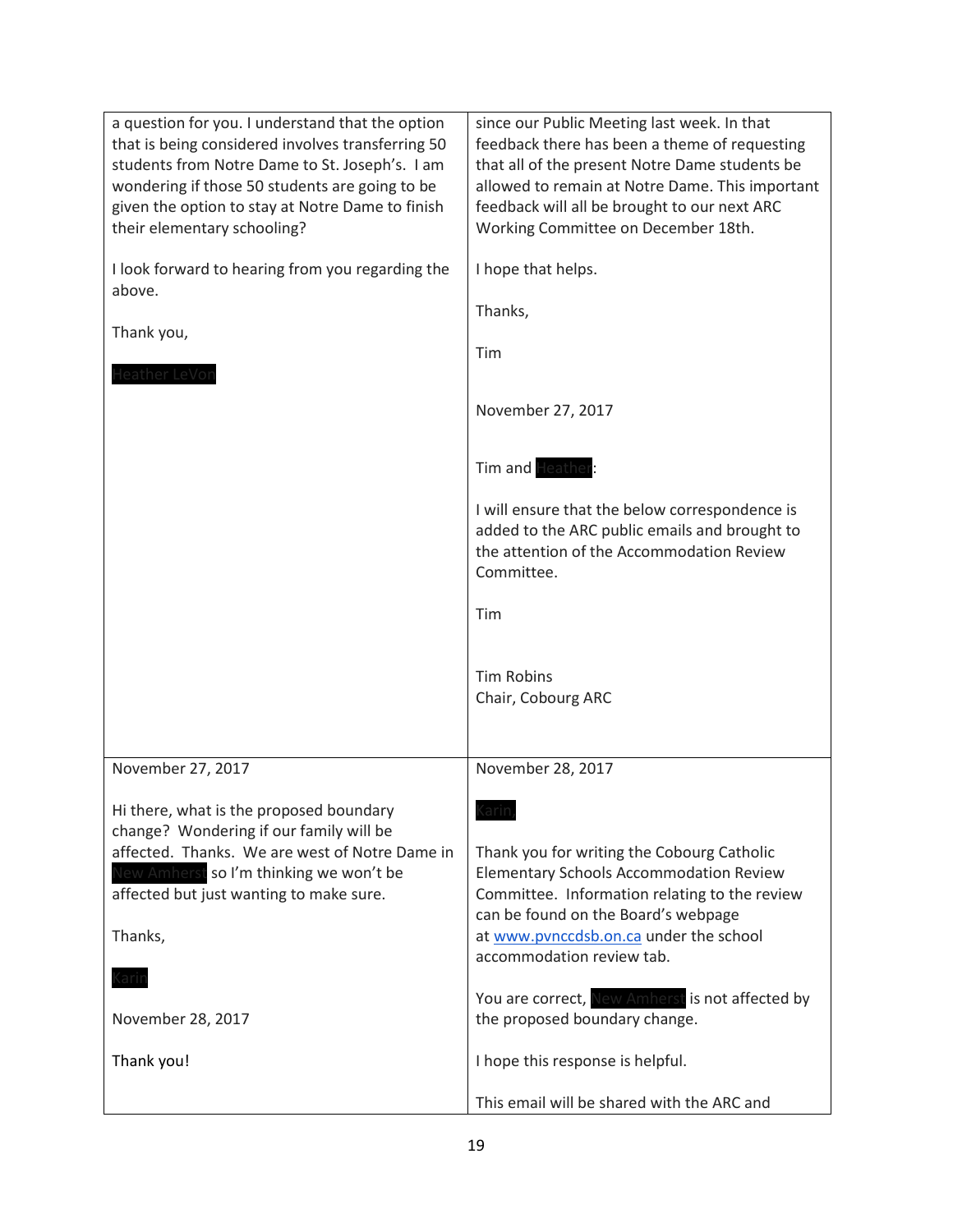| a question for you. I understand that the option<br>that is being considered involves transferring 50<br>students from Notre Dame to St. Joseph's. I am<br>wondering if those 50 students are going to be<br>given the option to stay at Notre Dame to finish<br>their elementary schooling? | since our Public Meeting last week. In that<br>feedback there has been a theme of requesting<br>that all of the present Notre Dame students be<br>allowed to remain at Notre Dame. This important<br>feedback will all be brought to our next ARC<br>Working Committee on December 18th. |
|----------------------------------------------------------------------------------------------------------------------------------------------------------------------------------------------------------------------------------------------------------------------------------------------|------------------------------------------------------------------------------------------------------------------------------------------------------------------------------------------------------------------------------------------------------------------------------------------|
| I look forward to hearing from you regarding the<br>above.                                                                                                                                                                                                                                   | I hope that helps.                                                                                                                                                                                                                                                                       |
| Thank you,                                                                                                                                                                                                                                                                                   | Thanks,                                                                                                                                                                                                                                                                                  |
| leather LeVo                                                                                                                                                                                                                                                                                 | Tim                                                                                                                                                                                                                                                                                      |
|                                                                                                                                                                                                                                                                                              | November 27, 2017                                                                                                                                                                                                                                                                        |
|                                                                                                                                                                                                                                                                                              | Tim and Heather                                                                                                                                                                                                                                                                          |
|                                                                                                                                                                                                                                                                                              | I will ensure that the below correspondence is<br>added to the ARC public emails and brought to<br>the attention of the Accommodation Review<br>Committee.                                                                                                                               |
|                                                                                                                                                                                                                                                                                              | Tim                                                                                                                                                                                                                                                                                      |
|                                                                                                                                                                                                                                                                                              | <b>Tim Robins</b><br>Chair, Cobourg ARC                                                                                                                                                                                                                                                  |
| November 27, 2017                                                                                                                                                                                                                                                                            | November 28, 2017                                                                                                                                                                                                                                                                        |
| Hi there, what is the proposed boundary<br>change? Wondering if our family will be<br>affected. Thanks. We are west of Notre Dame in<br>New Amherst so I'm thinking we won't be<br>affected but just wanting to make sure.                                                                   | ların<br>Thank you for writing the Cobourg Catholic<br><b>Elementary Schools Accommodation Review</b><br>Committee. Information relating to the review<br>can be found on the Board's webpage                                                                                            |
| Thanks,                                                                                                                                                                                                                                                                                      | at www.pvnccdsb.on.ca under the school<br>accommodation review tab.                                                                                                                                                                                                                      |
| <u>(aril</u><br>November 28, 2017                                                                                                                                                                                                                                                            | You are correct, New Amherst is not affected by<br>the proposed boundary change.                                                                                                                                                                                                         |
| Thank you!                                                                                                                                                                                                                                                                                   | I hope this response is helpful.                                                                                                                                                                                                                                                         |
|                                                                                                                                                                                                                                                                                              | This email will be shared with the ARC and                                                                                                                                                                                                                                               |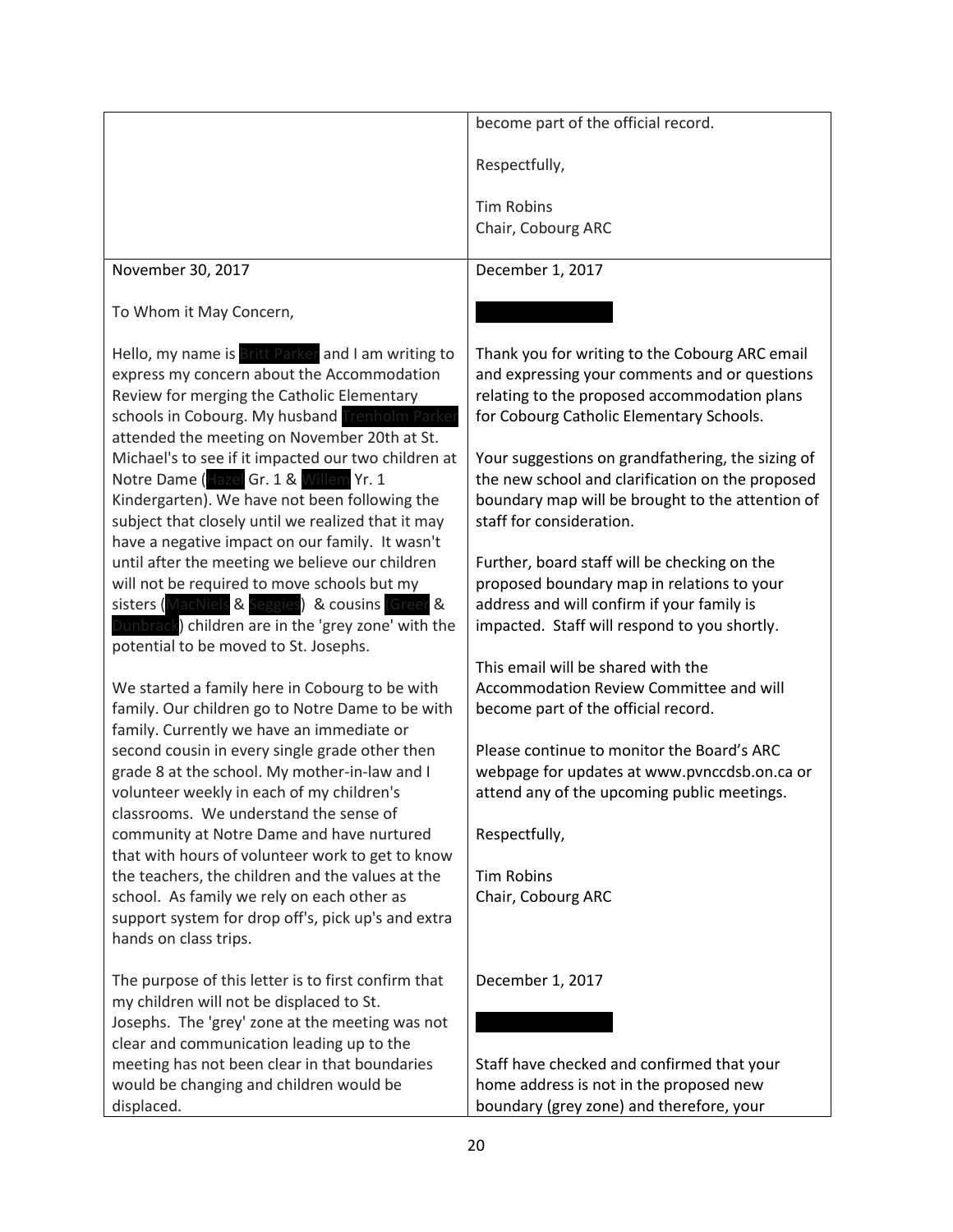|                                                                                                                                                                                                                                                                                                         | become part of the official record.                                                                                                                                                         |
|---------------------------------------------------------------------------------------------------------------------------------------------------------------------------------------------------------------------------------------------------------------------------------------------------------|---------------------------------------------------------------------------------------------------------------------------------------------------------------------------------------------|
|                                                                                                                                                                                                                                                                                                         |                                                                                                                                                                                             |
|                                                                                                                                                                                                                                                                                                         | Respectfully,                                                                                                                                                                               |
|                                                                                                                                                                                                                                                                                                         | <b>Tim Robins</b>                                                                                                                                                                           |
|                                                                                                                                                                                                                                                                                                         | Chair, Cobourg ARC                                                                                                                                                                          |
|                                                                                                                                                                                                                                                                                                         |                                                                                                                                                                                             |
| November 30, 2017                                                                                                                                                                                                                                                                                       | December 1, 2017                                                                                                                                                                            |
|                                                                                                                                                                                                                                                                                                         |                                                                                                                                                                                             |
| To Whom it May Concern,                                                                                                                                                                                                                                                                                 |                                                                                                                                                                                             |
| Hello, my name is Britt Parker and I am writing to<br>express my concern about the Accommodation<br>Review for merging the Catholic Elementary<br>schools in Cobourg. My husband Trenholm Parke                                                                                                         | Thank you for writing to the Cobourg ARC email<br>and expressing your comments and or questions<br>relating to the proposed accommodation plans<br>for Cobourg Catholic Elementary Schools. |
| attended the meeting on November 20th at St.<br>Michael's to see if it impacted our two children at<br>Notre Dame (Hazel Gr. 1 & Willem Yr. 1<br>Kindergarten). We have not been following the<br>subject that closely until we realized that it may<br>have a negative impact on our family. It wasn't | Your suggestions on grandfathering, the sizing of<br>the new school and clarification on the proposed<br>boundary map will be brought to the attention of<br>staff for consideration.       |
| until after the meeting we believe our children<br>will not be required to move schools but my<br>sisters (MacNiels & Seggies) & cousins (Green &<br>Dunbrack) children are in the 'grey zone' with the<br>potential to be moved to St. Josephs.                                                        | Further, board staff will be checking on the<br>proposed boundary map in relations to your<br>address and will confirm if your family is<br>impacted. Staff will respond to you shortly.    |
| We started a family here in Cobourg to be with<br>family. Our children go to Notre Dame to be with<br>family. Currently we have an immediate or                                                                                                                                                         | This email will be shared with the<br>Accommodation Review Committee and will<br>become part of the official record.                                                                        |
| second cousin in every single grade other then<br>grade 8 at the school. My mother-in-law and I<br>volunteer weekly in each of my children's<br>classrooms. We understand the sense of                                                                                                                  | Please continue to monitor the Board's ARC<br>webpage for updates at www.pvnccdsb.on.ca or<br>attend any of the upcoming public meetings.                                                   |
| community at Notre Dame and have nurtured<br>that with hours of volunteer work to get to know                                                                                                                                                                                                           | Respectfully,                                                                                                                                                                               |
| the teachers, the children and the values at the<br>school. As family we rely on each other as<br>support system for drop off's, pick up's and extra<br>hands on class trips.                                                                                                                           | <b>Tim Robins</b><br>Chair, Cobourg ARC                                                                                                                                                     |
| The purpose of this letter is to first confirm that<br>my children will not be displaced to St.<br>Josephs. The 'grey' zone at the meeting was not                                                                                                                                                      | December 1, 2017                                                                                                                                                                            |
| clear and communication leading up to the                                                                                                                                                                                                                                                               |                                                                                                                                                                                             |
| meeting has not been clear in that boundaries                                                                                                                                                                                                                                                           | Staff have checked and confirmed that your                                                                                                                                                  |
| would be changing and children would be                                                                                                                                                                                                                                                                 | home address is not in the proposed new                                                                                                                                                     |
| displaced.                                                                                                                                                                                                                                                                                              | boundary (grey zone) and therefore, your                                                                                                                                                    |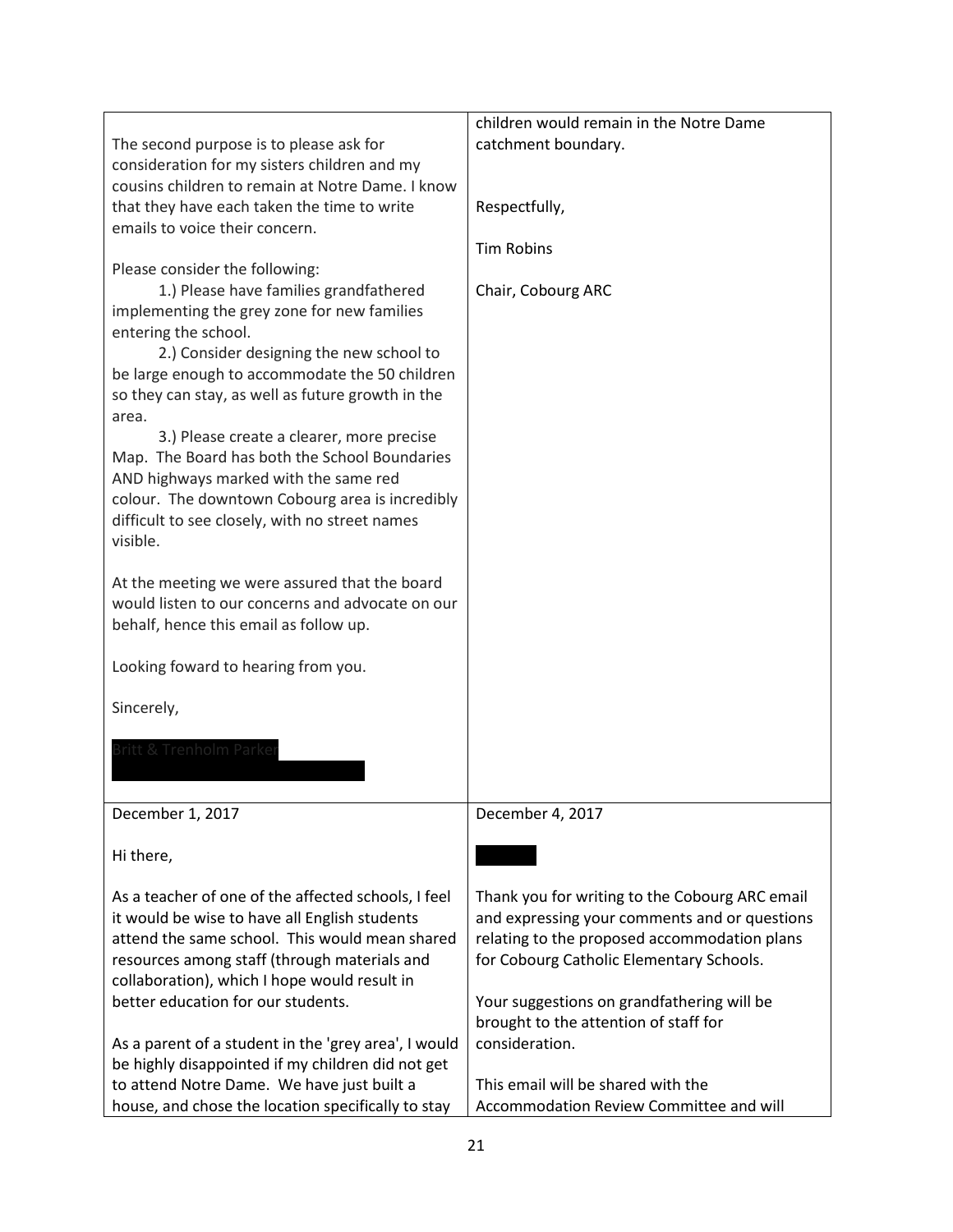|                                                      | children would remain in the Notre Dame        |
|------------------------------------------------------|------------------------------------------------|
| The second purpose is to please ask for              | catchment boundary.                            |
| consideration for my sisters children and my         |                                                |
| cousins children to remain at Notre Dame. I know     |                                                |
|                                                      |                                                |
| that they have each taken the time to write          | Respectfully,                                  |
| emails to voice their concern.                       |                                                |
|                                                      | <b>Tim Robins</b>                              |
| Please consider the following:                       |                                                |
| 1.) Please have families grandfathered               | Chair, Cobourg ARC                             |
| implementing the grey zone for new families          |                                                |
| entering the school.                                 |                                                |
| 2.) Consider designing the new school to             |                                                |
| be large enough to accommodate the 50 children       |                                                |
| so they can stay, as well as future growth in the    |                                                |
| area.                                                |                                                |
| 3.) Please create a clearer, more precise            |                                                |
| Map. The Board has both the School Boundaries        |                                                |
| AND highways marked with the same red                |                                                |
| colour. The downtown Cobourg area is incredibly      |                                                |
| difficult to see closely, with no street names       |                                                |
| visible.                                             |                                                |
|                                                      |                                                |
| At the meeting we were assured that the board        |                                                |
| would listen to our concerns and advocate on our     |                                                |
| behalf, hence this email as follow up.               |                                                |
|                                                      |                                                |
| Looking foward to hearing from you.                  |                                                |
|                                                      |                                                |
| Sincerely,                                           |                                                |
|                                                      |                                                |
| Britt & Trenholm Parke                               |                                                |
|                                                      |                                                |
|                                                      |                                                |
| December 1, 2017                                     | December 4, 2017                               |
|                                                      |                                                |
| Hi there,                                            |                                                |
|                                                      |                                                |
| As a teacher of one of the affected schools, I feel  | Thank you for writing to the Cobourg ARC email |
| it would be wise to have all English students        | and expressing your comments and or questions  |
| attend the same school. This would mean shared       | relating to the proposed accommodation plans   |
| resources among staff (through materials and         | for Cobourg Catholic Elementary Schools.       |
| collaboration), which I hope would result in         |                                                |
| better education for our students.                   | Your suggestions on grandfathering will be     |
|                                                      | brought to the attention of staff for          |
| As a parent of a student in the 'grey area', I would | consideration.                                 |
| be highly disappointed if my children did not get    |                                                |
| to attend Notre Dame. We have just built a           | This email will be shared with the             |
| house, and chose the location specifically to stay   | Accommodation Review Committee and will        |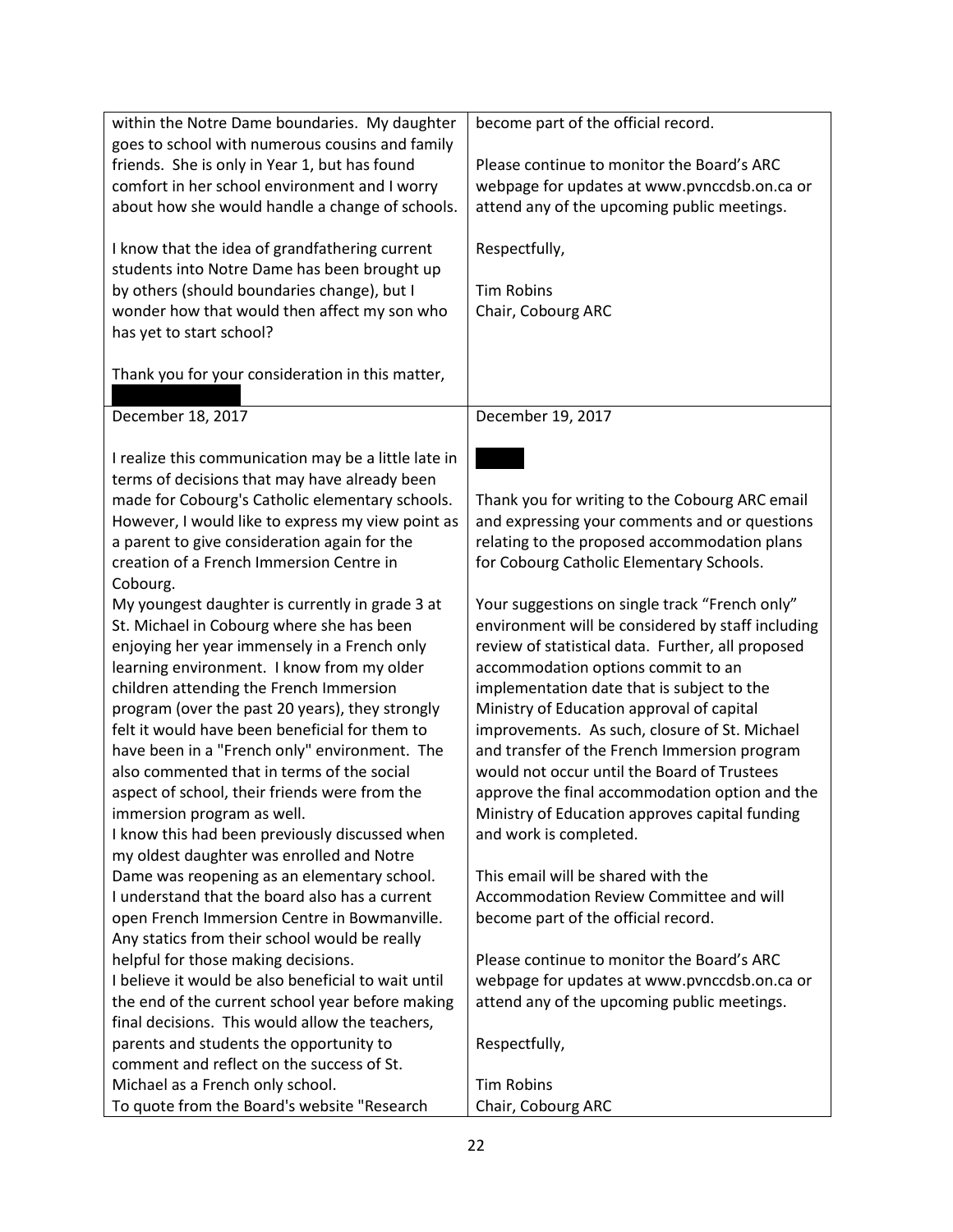| within the Notre Dame boundaries. My daughter                                                                                                                                                                                                                                                                                                                                                                                                                                                                                                                                                                                                                                                                                                                                                                                                                                                                                                                                                                                                                                                                                                                                                                                                                                                                                                                                                                                                                                                                                                              | become part of the official record.                                                                                                                                                                                                                                                                                                                                                                                                                                                                                                                                                                                                                                                                                                                                                                                                                                                                                                                                                                                                                                                                     |
|------------------------------------------------------------------------------------------------------------------------------------------------------------------------------------------------------------------------------------------------------------------------------------------------------------------------------------------------------------------------------------------------------------------------------------------------------------------------------------------------------------------------------------------------------------------------------------------------------------------------------------------------------------------------------------------------------------------------------------------------------------------------------------------------------------------------------------------------------------------------------------------------------------------------------------------------------------------------------------------------------------------------------------------------------------------------------------------------------------------------------------------------------------------------------------------------------------------------------------------------------------------------------------------------------------------------------------------------------------------------------------------------------------------------------------------------------------------------------------------------------------------------------------------------------------|---------------------------------------------------------------------------------------------------------------------------------------------------------------------------------------------------------------------------------------------------------------------------------------------------------------------------------------------------------------------------------------------------------------------------------------------------------------------------------------------------------------------------------------------------------------------------------------------------------------------------------------------------------------------------------------------------------------------------------------------------------------------------------------------------------------------------------------------------------------------------------------------------------------------------------------------------------------------------------------------------------------------------------------------------------------------------------------------------------|
| goes to school with numerous cousins and family                                                                                                                                                                                                                                                                                                                                                                                                                                                                                                                                                                                                                                                                                                                                                                                                                                                                                                                                                                                                                                                                                                                                                                                                                                                                                                                                                                                                                                                                                                            |                                                                                                                                                                                                                                                                                                                                                                                                                                                                                                                                                                                                                                                                                                                                                                                                                                                                                                                                                                                                                                                                                                         |
| friends. She is only in Year 1, but has found                                                                                                                                                                                                                                                                                                                                                                                                                                                                                                                                                                                                                                                                                                                                                                                                                                                                                                                                                                                                                                                                                                                                                                                                                                                                                                                                                                                                                                                                                                              | Please continue to monitor the Board's ARC                                                                                                                                                                                                                                                                                                                                                                                                                                                                                                                                                                                                                                                                                                                                                                                                                                                                                                                                                                                                                                                              |
| comfort in her school environment and I worry                                                                                                                                                                                                                                                                                                                                                                                                                                                                                                                                                                                                                                                                                                                                                                                                                                                                                                                                                                                                                                                                                                                                                                                                                                                                                                                                                                                                                                                                                                              | webpage for updates at www.pvnccdsb.on.ca or                                                                                                                                                                                                                                                                                                                                                                                                                                                                                                                                                                                                                                                                                                                                                                                                                                                                                                                                                                                                                                                            |
| about how she would handle a change of schools.                                                                                                                                                                                                                                                                                                                                                                                                                                                                                                                                                                                                                                                                                                                                                                                                                                                                                                                                                                                                                                                                                                                                                                                                                                                                                                                                                                                                                                                                                                            | attend any of the upcoming public meetings.                                                                                                                                                                                                                                                                                                                                                                                                                                                                                                                                                                                                                                                                                                                                                                                                                                                                                                                                                                                                                                                             |
| I know that the idea of grandfathering current                                                                                                                                                                                                                                                                                                                                                                                                                                                                                                                                                                                                                                                                                                                                                                                                                                                                                                                                                                                                                                                                                                                                                                                                                                                                                                                                                                                                                                                                                                             | Respectfully,                                                                                                                                                                                                                                                                                                                                                                                                                                                                                                                                                                                                                                                                                                                                                                                                                                                                                                                                                                                                                                                                                           |
| students into Notre Dame has been brought up                                                                                                                                                                                                                                                                                                                                                                                                                                                                                                                                                                                                                                                                                                                                                                                                                                                                                                                                                                                                                                                                                                                                                                                                                                                                                                                                                                                                                                                                                                               |                                                                                                                                                                                                                                                                                                                                                                                                                                                                                                                                                                                                                                                                                                                                                                                                                                                                                                                                                                                                                                                                                                         |
| by others (should boundaries change), but I                                                                                                                                                                                                                                                                                                                                                                                                                                                                                                                                                                                                                                                                                                                                                                                                                                                                                                                                                                                                                                                                                                                                                                                                                                                                                                                                                                                                                                                                                                                | <b>Tim Robins</b>                                                                                                                                                                                                                                                                                                                                                                                                                                                                                                                                                                                                                                                                                                                                                                                                                                                                                                                                                                                                                                                                                       |
| wonder how that would then affect my son who                                                                                                                                                                                                                                                                                                                                                                                                                                                                                                                                                                                                                                                                                                                                                                                                                                                                                                                                                                                                                                                                                                                                                                                                                                                                                                                                                                                                                                                                                                               | Chair, Cobourg ARC                                                                                                                                                                                                                                                                                                                                                                                                                                                                                                                                                                                                                                                                                                                                                                                                                                                                                                                                                                                                                                                                                      |
|                                                                                                                                                                                                                                                                                                                                                                                                                                                                                                                                                                                                                                                                                                                                                                                                                                                                                                                                                                                                                                                                                                                                                                                                                                                                                                                                                                                                                                                                                                                                                            |                                                                                                                                                                                                                                                                                                                                                                                                                                                                                                                                                                                                                                                                                                                                                                                                                                                                                                                                                                                                                                                                                                         |
|                                                                                                                                                                                                                                                                                                                                                                                                                                                                                                                                                                                                                                                                                                                                                                                                                                                                                                                                                                                                                                                                                                                                                                                                                                                                                                                                                                                                                                                                                                                                                            |                                                                                                                                                                                                                                                                                                                                                                                                                                                                                                                                                                                                                                                                                                                                                                                                                                                                                                                                                                                                                                                                                                         |
|                                                                                                                                                                                                                                                                                                                                                                                                                                                                                                                                                                                                                                                                                                                                                                                                                                                                                                                                                                                                                                                                                                                                                                                                                                                                                                                                                                                                                                                                                                                                                            |                                                                                                                                                                                                                                                                                                                                                                                                                                                                                                                                                                                                                                                                                                                                                                                                                                                                                                                                                                                                                                                                                                         |
| December 18, 2017                                                                                                                                                                                                                                                                                                                                                                                                                                                                                                                                                                                                                                                                                                                                                                                                                                                                                                                                                                                                                                                                                                                                                                                                                                                                                                                                                                                                                                                                                                                                          | December 19, 2017                                                                                                                                                                                                                                                                                                                                                                                                                                                                                                                                                                                                                                                                                                                                                                                                                                                                                                                                                                                                                                                                                       |
|                                                                                                                                                                                                                                                                                                                                                                                                                                                                                                                                                                                                                                                                                                                                                                                                                                                                                                                                                                                                                                                                                                                                                                                                                                                                                                                                                                                                                                                                                                                                                            |                                                                                                                                                                                                                                                                                                                                                                                                                                                                                                                                                                                                                                                                                                                                                                                                                                                                                                                                                                                                                                                                                                         |
| I realize this communication may be a little late in                                                                                                                                                                                                                                                                                                                                                                                                                                                                                                                                                                                                                                                                                                                                                                                                                                                                                                                                                                                                                                                                                                                                                                                                                                                                                                                                                                                                                                                                                                       |                                                                                                                                                                                                                                                                                                                                                                                                                                                                                                                                                                                                                                                                                                                                                                                                                                                                                                                                                                                                                                                                                                         |
|                                                                                                                                                                                                                                                                                                                                                                                                                                                                                                                                                                                                                                                                                                                                                                                                                                                                                                                                                                                                                                                                                                                                                                                                                                                                                                                                                                                                                                                                                                                                                            |                                                                                                                                                                                                                                                                                                                                                                                                                                                                                                                                                                                                                                                                                                                                                                                                                                                                                                                                                                                                                                                                                                         |
|                                                                                                                                                                                                                                                                                                                                                                                                                                                                                                                                                                                                                                                                                                                                                                                                                                                                                                                                                                                                                                                                                                                                                                                                                                                                                                                                                                                                                                                                                                                                                            |                                                                                                                                                                                                                                                                                                                                                                                                                                                                                                                                                                                                                                                                                                                                                                                                                                                                                                                                                                                                                                                                                                         |
|                                                                                                                                                                                                                                                                                                                                                                                                                                                                                                                                                                                                                                                                                                                                                                                                                                                                                                                                                                                                                                                                                                                                                                                                                                                                                                                                                                                                                                                                                                                                                            |                                                                                                                                                                                                                                                                                                                                                                                                                                                                                                                                                                                                                                                                                                                                                                                                                                                                                                                                                                                                                                                                                                         |
|                                                                                                                                                                                                                                                                                                                                                                                                                                                                                                                                                                                                                                                                                                                                                                                                                                                                                                                                                                                                                                                                                                                                                                                                                                                                                                                                                                                                                                                                                                                                                            |                                                                                                                                                                                                                                                                                                                                                                                                                                                                                                                                                                                                                                                                                                                                                                                                                                                                                                                                                                                                                                                                                                         |
|                                                                                                                                                                                                                                                                                                                                                                                                                                                                                                                                                                                                                                                                                                                                                                                                                                                                                                                                                                                                                                                                                                                                                                                                                                                                                                                                                                                                                                                                                                                                                            |                                                                                                                                                                                                                                                                                                                                                                                                                                                                                                                                                                                                                                                                                                                                                                                                                                                                                                                                                                                                                                                                                                         |
|                                                                                                                                                                                                                                                                                                                                                                                                                                                                                                                                                                                                                                                                                                                                                                                                                                                                                                                                                                                                                                                                                                                                                                                                                                                                                                                                                                                                                                                                                                                                                            |                                                                                                                                                                                                                                                                                                                                                                                                                                                                                                                                                                                                                                                                                                                                                                                                                                                                                                                                                                                                                                                                                                         |
|                                                                                                                                                                                                                                                                                                                                                                                                                                                                                                                                                                                                                                                                                                                                                                                                                                                                                                                                                                                                                                                                                                                                                                                                                                                                                                                                                                                                                                                                                                                                                            |                                                                                                                                                                                                                                                                                                                                                                                                                                                                                                                                                                                                                                                                                                                                                                                                                                                                                                                                                                                                                                                                                                         |
|                                                                                                                                                                                                                                                                                                                                                                                                                                                                                                                                                                                                                                                                                                                                                                                                                                                                                                                                                                                                                                                                                                                                                                                                                                                                                                                                                                                                                                                                                                                                                            |                                                                                                                                                                                                                                                                                                                                                                                                                                                                                                                                                                                                                                                                                                                                                                                                                                                                                                                                                                                                                                                                                                         |
|                                                                                                                                                                                                                                                                                                                                                                                                                                                                                                                                                                                                                                                                                                                                                                                                                                                                                                                                                                                                                                                                                                                                                                                                                                                                                                                                                                                                                                                                                                                                                            |                                                                                                                                                                                                                                                                                                                                                                                                                                                                                                                                                                                                                                                                                                                                                                                                                                                                                                                                                                                                                                                                                                         |
|                                                                                                                                                                                                                                                                                                                                                                                                                                                                                                                                                                                                                                                                                                                                                                                                                                                                                                                                                                                                                                                                                                                                                                                                                                                                                                                                                                                                                                                                                                                                                            |                                                                                                                                                                                                                                                                                                                                                                                                                                                                                                                                                                                                                                                                                                                                                                                                                                                                                                                                                                                                                                                                                                         |
|                                                                                                                                                                                                                                                                                                                                                                                                                                                                                                                                                                                                                                                                                                                                                                                                                                                                                                                                                                                                                                                                                                                                                                                                                                                                                                                                                                                                                                                                                                                                                            |                                                                                                                                                                                                                                                                                                                                                                                                                                                                                                                                                                                                                                                                                                                                                                                                                                                                                                                                                                                                                                                                                                         |
|                                                                                                                                                                                                                                                                                                                                                                                                                                                                                                                                                                                                                                                                                                                                                                                                                                                                                                                                                                                                                                                                                                                                                                                                                                                                                                                                                                                                                                                                                                                                                            |                                                                                                                                                                                                                                                                                                                                                                                                                                                                                                                                                                                                                                                                                                                                                                                                                                                                                                                                                                                                                                                                                                         |
|                                                                                                                                                                                                                                                                                                                                                                                                                                                                                                                                                                                                                                                                                                                                                                                                                                                                                                                                                                                                                                                                                                                                                                                                                                                                                                                                                                                                                                                                                                                                                            |                                                                                                                                                                                                                                                                                                                                                                                                                                                                                                                                                                                                                                                                                                                                                                                                                                                                                                                                                                                                                                                                                                         |
|                                                                                                                                                                                                                                                                                                                                                                                                                                                                                                                                                                                                                                                                                                                                                                                                                                                                                                                                                                                                                                                                                                                                                                                                                                                                                                                                                                                                                                                                                                                                                            |                                                                                                                                                                                                                                                                                                                                                                                                                                                                                                                                                                                                                                                                                                                                                                                                                                                                                                                                                                                                                                                                                                         |
|                                                                                                                                                                                                                                                                                                                                                                                                                                                                                                                                                                                                                                                                                                                                                                                                                                                                                                                                                                                                                                                                                                                                                                                                                                                                                                                                                                                                                                                                                                                                                            |                                                                                                                                                                                                                                                                                                                                                                                                                                                                                                                                                                                                                                                                                                                                                                                                                                                                                                                                                                                                                                                                                                         |
|                                                                                                                                                                                                                                                                                                                                                                                                                                                                                                                                                                                                                                                                                                                                                                                                                                                                                                                                                                                                                                                                                                                                                                                                                                                                                                                                                                                                                                                                                                                                                            |                                                                                                                                                                                                                                                                                                                                                                                                                                                                                                                                                                                                                                                                                                                                                                                                                                                                                                                                                                                                                                                                                                         |
|                                                                                                                                                                                                                                                                                                                                                                                                                                                                                                                                                                                                                                                                                                                                                                                                                                                                                                                                                                                                                                                                                                                                                                                                                                                                                                                                                                                                                                                                                                                                                            |                                                                                                                                                                                                                                                                                                                                                                                                                                                                                                                                                                                                                                                                                                                                                                                                                                                                                                                                                                                                                                                                                                         |
|                                                                                                                                                                                                                                                                                                                                                                                                                                                                                                                                                                                                                                                                                                                                                                                                                                                                                                                                                                                                                                                                                                                                                                                                                                                                                                                                                                                                                                                                                                                                                            |                                                                                                                                                                                                                                                                                                                                                                                                                                                                                                                                                                                                                                                                                                                                                                                                                                                                                                                                                                                                                                                                                                         |
|                                                                                                                                                                                                                                                                                                                                                                                                                                                                                                                                                                                                                                                                                                                                                                                                                                                                                                                                                                                                                                                                                                                                                                                                                                                                                                                                                                                                                                                                                                                                                            |                                                                                                                                                                                                                                                                                                                                                                                                                                                                                                                                                                                                                                                                                                                                                                                                                                                                                                                                                                                                                                                                                                         |
|                                                                                                                                                                                                                                                                                                                                                                                                                                                                                                                                                                                                                                                                                                                                                                                                                                                                                                                                                                                                                                                                                                                                                                                                                                                                                                                                                                                                                                                                                                                                                            |                                                                                                                                                                                                                                                                                                                                                                                                                                                                                                                                                                                                                                                                                                                                                                                                                                                                                                                                                                                                                                                                                                         |
|                                                                                                                                                                                                                                                                                                                                                                                                                                                                                                                                                                                                                                                                                                                                                                                                                                                                                                                                                                                                                                                                                                                                                                                                                                                                                                                                                                                                                                                                                                                                                            |                                                                                                                                                                                                                                                                                                                                                                                                                                                                                                                                                                                                                                                                                                                                                                                                                                                                                                                                                                                                                                                                                                         |
|                                                                                                                                                                                                                                                                                                                                                                                                                                                                                                                                                                                                                                                                                                                                                                                                                                                                                                                                                                                                                                                                                                                                                                                                                                                                                                                                                                                                                                                                                                                                                            |                                                                                                                                                                                                                                                                                                                                                                                                                                                                                                                                                                                                                                                                                                                                                                                                                                                                                                                                                                                                                                                                                                         |
|                                                                                                                                                                                                                                                                                                                                                                                                                                                                                                                                                                                                                                                                                                                                                                                                                                                                                                                                                                                                                                                                                                                                                                                                                                                                                                                                                                                                                                                                                                                                                            |                                                                                                                                                                                                                                                                                                                                                                                                                                                                                                                                                                                                                                                                                                                                                                                                                                                                                                                                                                                                                                                                                                         |
|                                                                                                                                                                                                                                                                                                                                                                                                                                                                                                                                                                                                                                                                                                                                                                                                                                                                                                                                                                                                                                                                                                                                                                                                                                                                                                                                                                                                                                                                                                                                                            |                                                                                                                                                                                                                                                                                                                                                                                                                                                                                                                                                                                                                                                                                                                                                                                                                                                                                                                                                                                                                                                                                                         |
|                                                                                                                                                                                                                                                                                                                                                                                                                                                                                                                                                                                                                                                                                                                                                                                                                                                                                                                                                                                                                                                                                                                                                                                                                                                                                                                                                                                                                                                                                                                                                            |                                                                                                                                                                                                                                                                                                                                                                                                                                                                                                                                                                                                                                                                                                                                                                                                                                                                                                                                                                                                                                                                                                         |
|                                                                                                                                                                                                                                                                                                                                                                                                                                                                                                                                                                                                                                                                                                                                                                                                                                                                                                                                                                                                                                                                                                                                                                                                                                                                                                                                                                                                                                                                                                                                                            |                                                                                                                                                                                                                                                                                                                                                                                                                                                                                                                                                                                                                                                                                                                                                                                                                                                                                                                                                                                                                                                                                                         |
|                                                                                                                                                                                                                                                                                                                                                                                                                                                                                                                                                                                                                                                                                                                                                                                                                                                                                                                                                                                                                                                                                                                                                                                                                                                                                                                                                                                                                                                                                                                                                            |                                                                                                                                                                                                                                                                                                                                                                                                                                                                                                                                                                                                                                                                                                                                                                                                                                                                                                                                                                                                                                                                                                         |
|                                                                                                                                                                                                                                                                                                                                                                                                                                                                                                                                                                                                                                                                                                                                                                                                                                                                                                                                                                                                                                                                                                                                                                                                                                                                                                                                                                                                                                                                                                                                                            |                                                                                                                                                                                                                                                                                                                                                                                                                                                                                                                                                                                                                                                                                                                                                                                                                                                                                                                                                                                                                                                                                                         |
|                                                                                                                                                                                                                                                                                                                                                                                                                                                                                                                                                                                                                                                                                                                                                                                                                                                                                                                                                                                                                                                                                                                                                                                                                                                                                                                                                                                                                                                                                                                                                            |                                                                                                                                                                                                                                                                                                                                                                                                                                                                                                                                                                                                                                                                                                                                                                                                                                                                                                                                                                                                                                                                                                         |
|                                                                                                                                                                                                                                                                                                                                                                                                                                                                                                                                                                                                                                                                                                                                                                                                                                                                                                                                                                                                                                                                                                                                                                                                                                                                                                                                                                                                                                                                                                                                                            |                                                                                                                                                                                                                                                                                                                                                                                                                                                                                                                                                                                                                                                                                                                                                                                                                                                                                                                                                                                                                                                                                                         |
| has yet to start school?<br>Thank you for your consideration in this matter,<br>terms of decisions that may have already been<br>made for Cobourg's Catholic elementary schools.<br>However, I would like to express my view point as<br>a parent to give consideration again for the<br>creation of a French Immersion Centre in<br>Cobourg.<br>My youngest daughter is currently in grade 3 at<br>St. Michael in Cobourg where she has been<br>enjoying her year immensely in a French only<br>learning environment. I know from my older<br>children attending the French Immersion<br>program (over the past 20 years), they strongly<br>felt it would have been beneficial for them to<br>have been in a "French only" environment. The<br>also commented that in terms of the social<br>aspect of school, their friends were from the<br>immersion program as well.<br>I know this had been previously discussed when<br>my oldest daughter was enrolled and Notre<br>Dame was reopening as an elementary school.<br>I understand that the board also has a current<br>open French Immersion Centre in Bowmanville.<br>Any statics from their school would be really<br>helpful for those making decisions.<br>I believe it would be also beneficial to wait until<br>the end of the current school year before making<br>final decisions. This would allow the teachers,<br>parents and students the opportunity to<br>comment and reflect on the success of St.<br>Michael as a French only school.<br>To quote from the Board's website "Research | Thank you for writing to the Cobourg ARC email<br>and expressing your comments and or questions<br>relating to the proposed accommodation plans<br>for Cobourg Catholic Elementary Schools.<br>Your suggestions on single track "French only"<br>environment will be considered by staff including<br>review of statistical data. Further, all proposed<br>accommodation options commit to an<br>implementation date that is subject to the<br>Ministry of Education approval of capital<br>improvements. As such, closure of St. Michael<br>and transfer of the French Immersion program<br>would not occur until the Board of Trustees<br>approve the final accommodation option and the<br>Ministry of Education approves capital funding<br>and work is completed.<br>This email will be shared with the<br>Accommodation Review Committee and will<br>become part of the official record.<br>Please continue to monitor the Board's ARC<br>webpage for updates at www.pvnccdsb.on.ca or<br>attend any of the upcoming public meetings.<br>Respectfully,<br><b>Tim Robins</b><br>Chair, Cobourg ARC |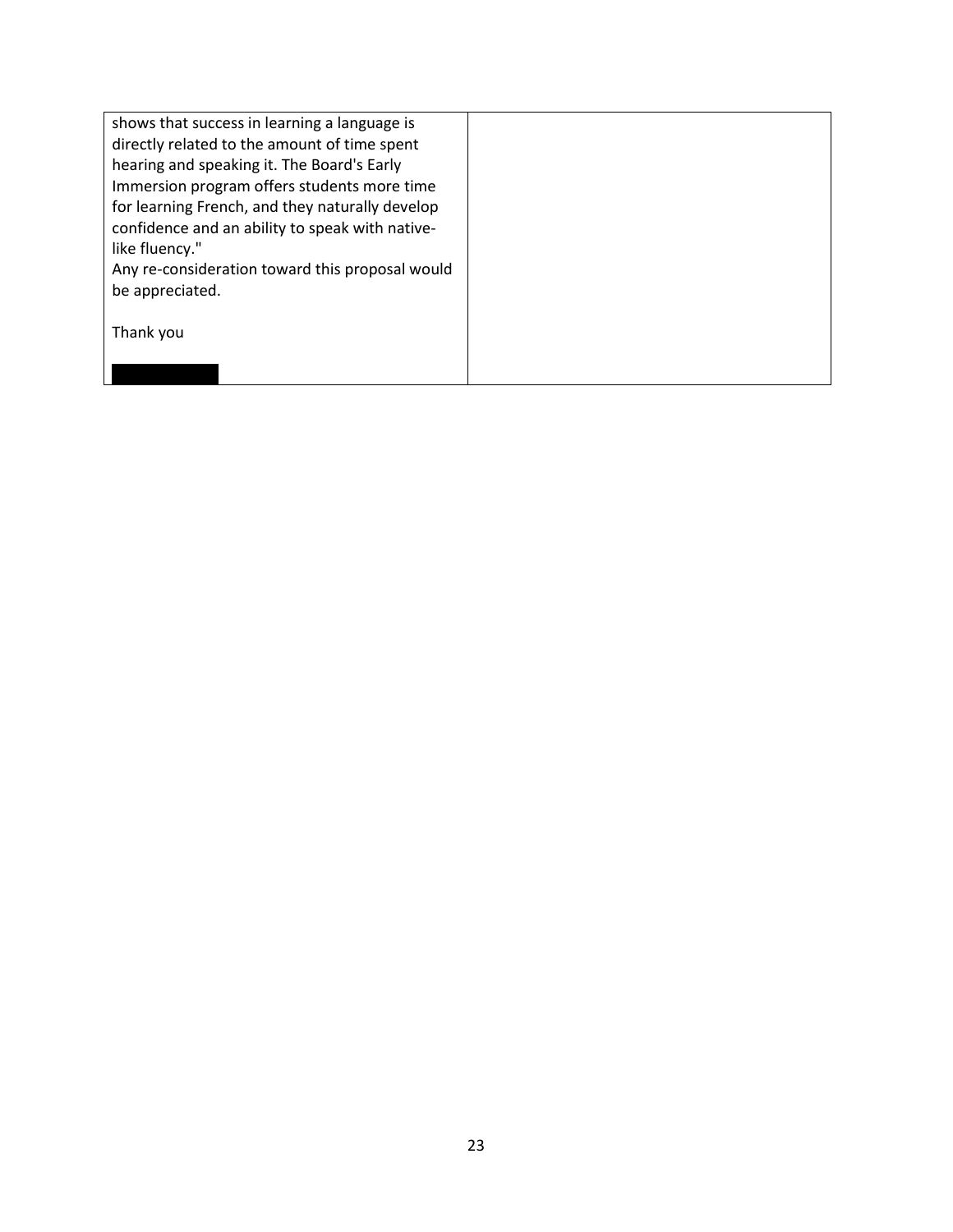| shows that success in learning a language is    |  |
|-------------------------------------------------|--|
| directly related to the amount of time spent    |  |
| hearing and speaking it. The Board's Early      |  |
| Immersion program offers students more time     |  |
| for learning French, and they naturally develop |  |
| confidence and an ability to speak with native- |  |
| like fluency."                                  |  |
| Any re-consideration toward this proposal would |  |
| be appreciated.                                 |  |
|                                                 |  |
| Thank you                                       |  |
|                                                 |  |
|                                                 |  |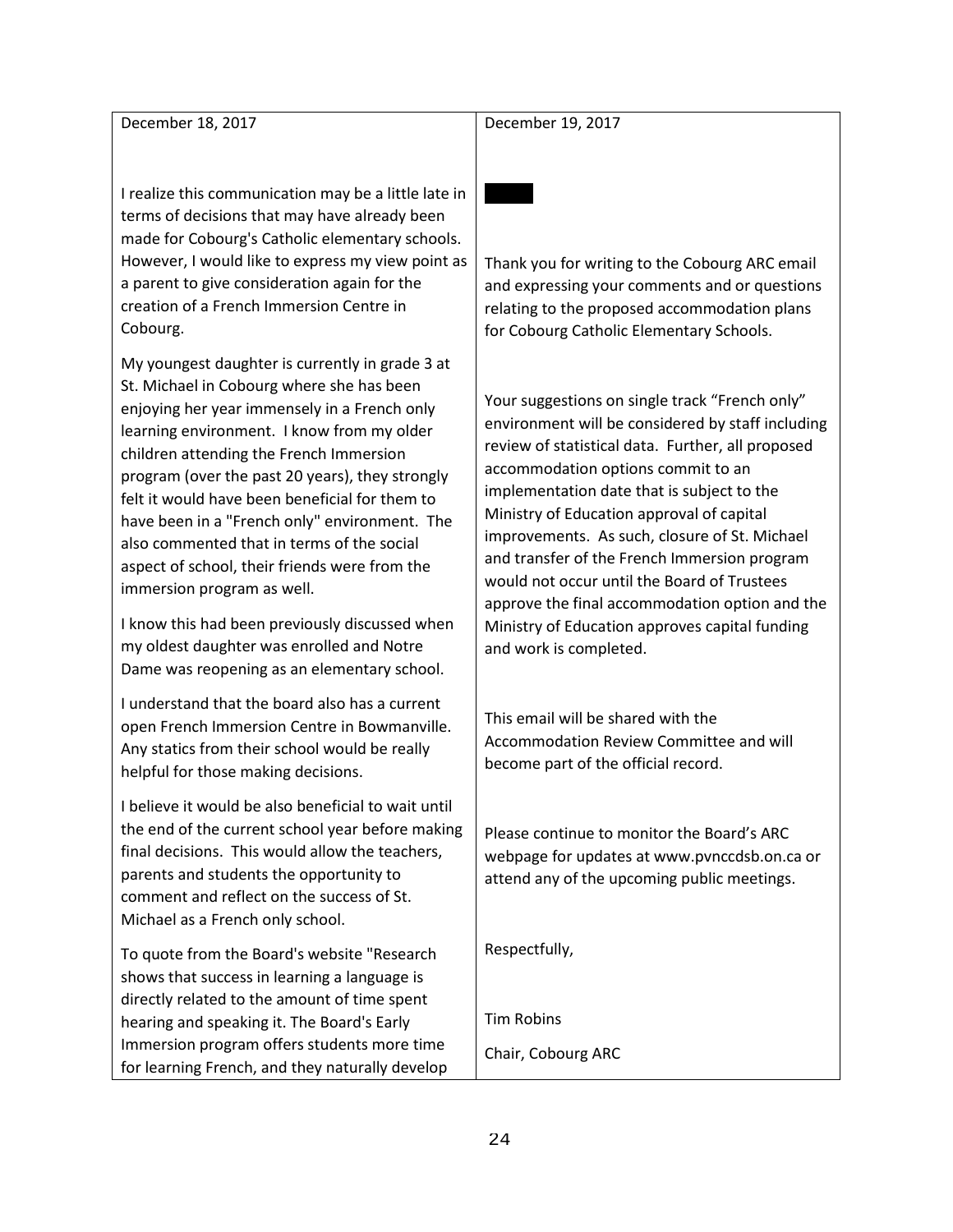December 18, 2017

December 19, 2017

I realize this communication may be a little late in terms of decisions that may have already been made for Cobourg's Catholic elementary schools. However, I would like to express my view point as a parent to give consideration again for the creation of a French Immersion Centre in Cobourg.

My youngest daughter is currently in grade 3 at St. Michael in Cobourg where she has been enjoying her year immensely in a French only learning environment. I know from my older children attending the French Immersion program (over the past 20 years), they strongly felt it would have been beneficial for them to have been in a "French only" environment. The also commented that in terms of the social aspect of school, their friends were from the immersion program as well.

I know this had been previously discussed when my oldest daughter was enrolled and Notre Dame was reopening as an elementary school.

I understand that the board also has a current open French Immersion Centre in Bowmanville. Any statics from their school would be really helpful for those making decisions.

I believe it would be also beneficial to wait until the end of the current school year before making final decisions. This would allow the teachers, parents and students the opportunity to comment and reflect on the success of St. Michael as a French only school.

To quote from the Board's website "Research shows that success in learning a language is directly related to the amount of time spent hearing and speaking it. The Board's Early Immersion program offers students more time for learning French, and they naturally develop Thank you for writing to the Cobourg ARC email and expressing your comments and or questions relating to the proposed accommodation plans for Cobourg Catholic Elementary Schools.

Your suggestions on single track "French only" environment will be considered by staff including review of statistical data. Further, all proposed accommodation options commit to an implementation date that is subject to the Ministry of Education approval of capital improvements. As such, closure of St. Michael and transfer of the French Immersion program would not occur until the Board of Trustees approve the final accommodation option and the Ministry of Education approves capital funding and work is completed.

This email will be shared with the Accommodation Review Committee and will become part of the official record.

Please continue to monitor the Board's ARC webpage for updates at www.pvnccdsb.on.ca or attend any of the upcoming public meetings.

Respectfully,

Tim Robins

Chair, Cobourg ARC